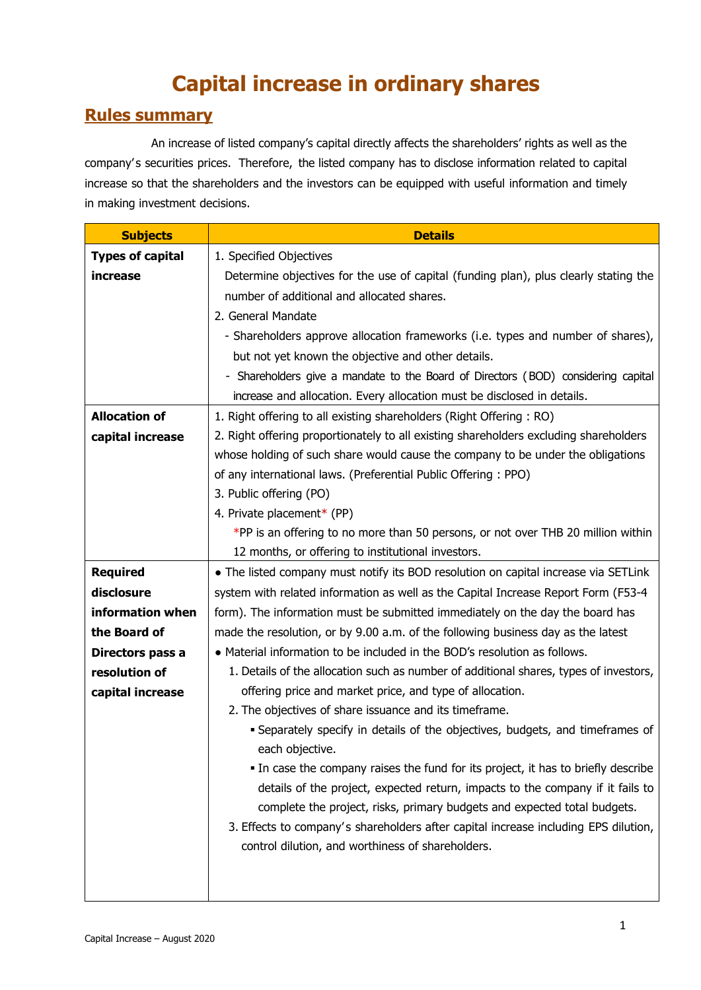# **Capital increase in ordinary shares**

## **Rules summary**

An increase of listed company's capital directly affects the shareholders' rights as well as the company' s securities prices. Therefore, the listed company has to disclose information related to capital increase so that the shareholders and the investors can be equipped with useful information and timely in making investment decisions.

| <b>Subjects</b>         | <b>Details</b>                                                                                 |
|-------------------------|------------------------------------------------------------------------------------------------|
| <b>Types of capital</b> | 1. Specified Objectives                                                                        |
| increase                | Determine objectives for the use of capital (funding plan), plus clearly stating the           |
|                         | number of additional and allocated shares.                                                     |
|                         | 2. General Mandate                                                                             |
|                         | - Shareholders approve allocation frameworks (i.e. types and number of shares),                |
|                         | but not yet known the objective and other details.                                             |
|                         | - Shareholders give a mandate to the Board of Directors (BOD) considering capital              |
|                         | increase and allocation. Every allocation must be disclosed in details.                        |
| <b>Allocation of</b>    | 1. Right offering to all existing shareholders (Right Offering: RO)                            |
| capital increase        | 2. Right offering proportionately to all existing shareholders excluding shareholders          |
|                         | whose holding of such share would cause the company to be under the obligations                |
|                         | of any international laws. (Preferential Public Offering: PPO)                                 |
|                         | 3. Public offering (PO)                                                                        |
|                         | 4. Private placement* (PP)                                                                     |
|                         | *PP is an offering to no more than 50 persons, or not over THB 20 million within               |
|                         | 12 months, or offering to institutional investors.                                             |
| <b>Required</b>         | • The listed company must notify its BOD resolution on capital increase via SETLink            |
| disclosure              | system with related information as well as the Capital Increase Report Form (F53-4             |
| information when        | form). The information must be submitted immediately on the day the board has                  |
| the Board of            | made the resolution, or by 9.00 a.m. of the following business day as the latest               |
| Directors pass a        | • Material information to be included in the BOD's resolution as follows.                      |
| resolution of           | 1. Details of the allocation such as number of additional shares, types of investors,          |
| capital increase        | offering price and market price, and type of allocation.                                       |
|                         | 2. The objectives of share issuance and its timeframe.                                         |
|                         | Separately specify in details of the objectives, budgets, and timeframes of<br>each objective. |
|                         | . In case the company raises the fund for its project, it has to briefly describe              |
|                         | details of the project, expected return, impacts to the company if it fails to                 |
|                         | complete the project, risks, primary budgets and expected total budgets.                       |
|                         | 3. Effects to company's shareholders after capital increase including EPS dilution,            |
|                         | control dilution, and worthiness of shareholders.                                              |
|                         |                                                                                                |
|                         |                                                                                                |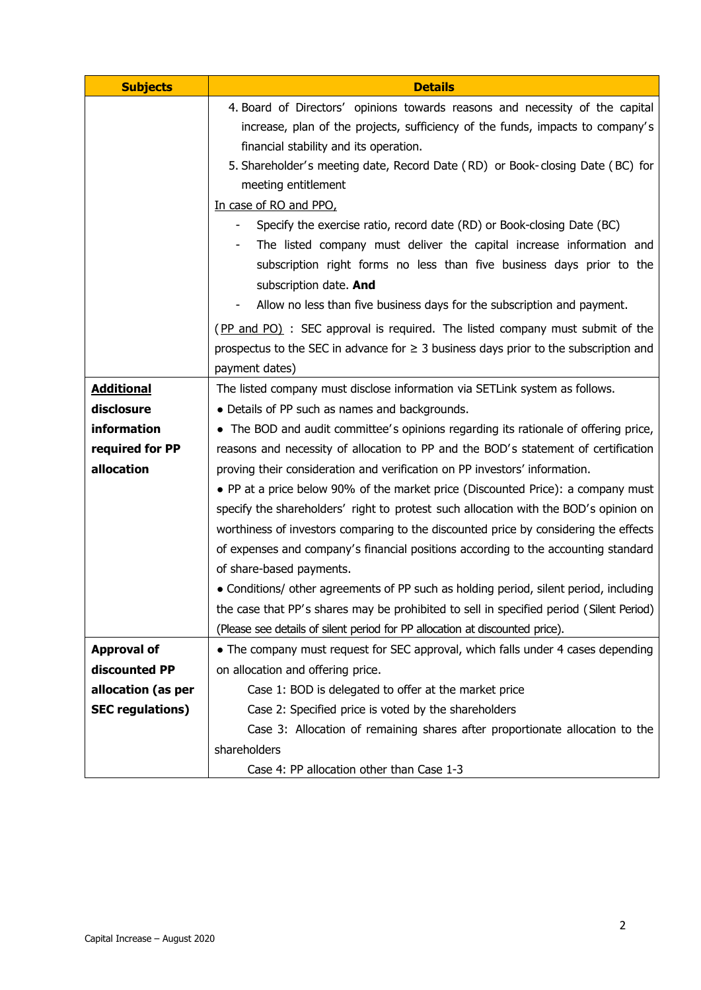| <b>Subjects</b>         | <b>Details</b>                                                                                   |  |  |  |  |
|-------------------------|--------------------------------------------------------------------------------------------------|--|--|--|--|
|                         | 4. Board of Directors' opinions towards reasons and necessity of the capital                     |  |  |  |  |
|                         | increase, plan of the projects, sufficiency of the funds, impacts to company's                   |  |  |  |  |
|                         | financial stability and its operation.                                                           |  |  |  |  |
|                         | 5. Shareholder's meeting date, Record Date (RD) or Book-closing Date (BC) for                    |  |  |  |  |
|                         | meeting entitlement                                                                              |  |  |  |  |
|                         | In case of RO and PPO,<br>Specify the exercise ratio, record date (RD) or Book-closing Date (BC) |  |  |  |  |
|                         |                                                                                                  |  |  |  |  |
|                         | The listed company must deliver the capital increase information and                             |  |  |  |  |
|                         | subscription right forms no less than five business days prior to the                            |  |  |  |  |
|                         | subscription date. And                                                                           |  |  |  |  |
|                         | Allow no less than five business days for the subscription and payment.                          |  |  |  |  |
|                         | (PP and PO) : SEC approval is required. The listed company must submit of the                    |  |  |  |  |
|                         | prospectus to the SEC in advance for $\geq$ 3 business days prior to the subscription and        |  |  |  |  |
|                         | payment dates)                                                                                   |  |  |  |  |
| <b>Additional</b>       | The listed company must disclose information via SETLink system as follows.                      |  |  |  |  |
| disclosure              | • Details of PP such as names and backgrounds.                                                   |  |  |  |  |
| information             | • The BOD and audit committee's opinions regarding its rationale of offering price,              |  |  |  |  |
| required for PP         | reasons and necessity of allocation to PP and the BOD's statement of certification               |  |  |  |  |
| allocation              | proving their consideration and verification on PP investors' information.                       |  |  |  |  |
|                         | • PP at a price below 90% of the market price (Discounted Price): a company must                 |  |  |  |  |
|                         | specify the shareholders' right to protest such allocation with the BOD's opinion on             |  |  |  |  |
|                         | worthiness of investors comparing to the discounted price by considering the effects             |  |  |  |  |
|                         | of expenses and company's financial positions according to the accounting standard               |  |  |  |  |
|                         | of share-based payments.                                                                         |  |  |  |  |
|                         | • Conditions/ other agreements of PP such as holding period, silent period, including            |  |  |  |  |
|                         | the case that PP's shares may be prohibited to sell in specified period (Silent Period)          |  |  |  |  |
|                         | (Please see details of silent period for PP allocation at discounted price).                     |  |  |  |  |
| <b>Approval of</b>      | • The company must request for SEC approval, which falls under 4 cases depending                 |  |  |  |  |
| discounted PP           | on allocation and offering price.                                                                |  |  |  |  |
| allocation (as per      | Case 1: BOD is delegated to offer at the market price                                            |  |  |  |  |
| <b>SEC regulations)</b> | Case 2: Specified price is voted by the shareholders                                             |  |  |  |  |
|                         | Case 3: Allocation of remaining shares after proportionate allocation to the                     |  |  |  |  |
|                         | shareholders                                                                                     |  |  |  |  |
|                         | Case 4: PP allocation other than Case 1-3                                                        |  |  |  |  |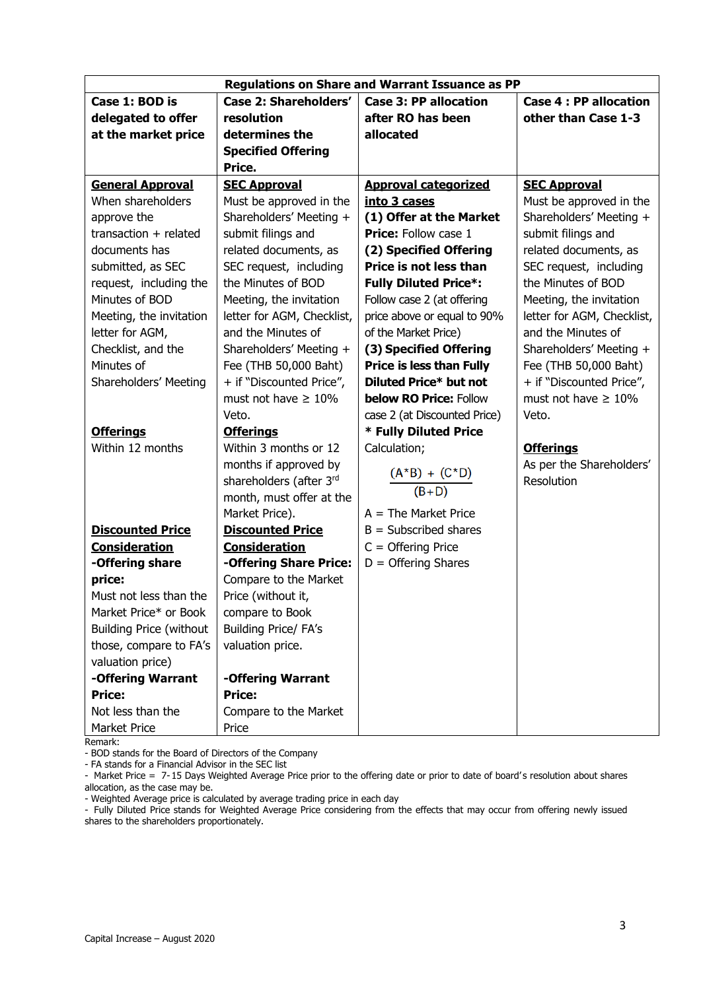| <b>Regulations on Share and Warrant Issuance as PP</b> |                                                                                       |                                 |                            |  |
|--------------------------------------------------------|---------------------------------------------------------------------------------------|---------------------------------|----------------------------|--|
| Case 1: BOD is                                         | Case 2: Shareholders'<br><b>Case 3: PP allocation</b><br><b>Case 4: PP allocation</b> |                                 |                            |  |
| delegated to offer                                     | resolution                                                                            | after RO has been               | other than Case 1-3        |  |
| at the market price                                    | determines the                                                                        | allocated                       |                            |  |
|                                                        | <b>Specified Offering</b>                                                             |                                 |                            |  |
|                                                        | Price.                                                                                |                                 |                            |  |
| <b>General Approval</b>                                | <b>SEC Approval</b>                                                                   | <b>Approval categorized</b>     | <b>SEC Approval</b>        |  |
| When shareholders                                      | Must be approved in the                                                               | into 3 cases                    | Must be approved in the    |  |
| approve the                                            | Shareholders' Meeting +                                                               | (1) Offer at the Market         | Shareholders' Meeting +    |  |
| transaction $+$ related                                | submit filings and                                                                    | <b>Price:</b> Follow case 1     | submit filings and         |  |
| documents has                                          | related documents, as                                                                 | (2) Specified Offering          | related documents, as      |  |
| submitted, as SEC                                      | SEC request, including                                                                | Price is not less than          | SEC request, including     |  |
| request, including the                                 | the Minutes of BOD                                                                    | <b>Fully Diluted Price*:</b>    | the Minutes of BOD         |  |
| Minutes of BOD                                         | Meeting, the invitation                                                               | Follow case 2 (at offering      | Meeting, the invitation    |  |
| Meeting, the invitation                                | letter for AGM, Checklist,                                                            | price above or equal to 90%     | letter for AGM, Checklist, |  |
| letter for AGM,                                        | and the Minutes of                                                                    | of the Market Price)            | and the Minutes of         |  |
| Checklist, and the                                     | Shareholders' Meeting +                                                               | (3) Specified Offering          | Shareholders' Meeting +    |  |
| Minutes of                                             | Fee (THB 50,000 Baht)                                                                 | <b>Price is less than Fully</b> | Fee (THB 50,000 Baht)      |  |
| Shareholders' Meeting                                  | + if "Discounted Price",                                                              | Diluted Price* but not          | + if "Discounted Price",   |  |
|                                                        | must not have $\geq 10\%$                                                             | <b>below RO Price: Follow</b>   | must not have $\geq 10\%$  |  |
|                                                        | Veto.                                                                                 | case 2 (at Discounted Price)    | Veto.                      |  |
| <b>Offerings</b>                                       | <b>Offerings</b>                                                                      | * Fully Diluted Price           |                            |  |
| Within 12 months                                       | Within 3 months or 12                                                                 | Calculation;                    | <b>Offerings</b>           |  |
|                                                        | months if approved by                                                                 |                                 | As per the Shareholders'   |  |
|                                                        | shareholders (after 3rd                                                               | $(A * B) + (C * D)$             | Resolution                 |  |
|                                                        | month, must offer at the                                                              | $(B+D)$                         |                            |  |
|                                                        | Market Price).                                                                        | $A = The Market Price$          |                            |  |
| <b>Discounted Price</b>                                | <b>Discounted Price</b>                                                               | $B = Subscribed shares$         |                            |  |
| <b>Consideration</b>                                   | <b>Consideration</b>                                                                  | $C =$ Offering Price            |                            |  |
| -Offering share                                        | -Offering Share Price:                                                                | $D =$ Offering Shares           |                            |  |
| price:                                                 | Compare to the Market                                                                 |                                 |                            |  |
| Must not less than the                                 | Price (without it,                                                                    |                                 |                            |  |
| Market Price* or Book                                  | compare to Book                                                                       |                                 |                            |  |
| <b>Building Price (without</b>                         | <b>Building Price/ FA's</b>                                                           |                                 |                            |  |
| those, compare to FA's                                 | valuation price.                                                                      |                                 |                            |  |
| valuation price)                                       |                                                                                       |                                 |                            |  |
| -Offering Warrant                                      | -Offering Warrant                                                                     |                                 |                            |  |
| <b>Price:</b>                                          | <b>Price:</b>                                                                         |                                 |                            |  |
| Not less than the                                      | Compare to the Market                                                                 |                                 |                            |  |
| Market Price                                           | Price                                                                                 |                                 |                            |  |

Remark:

- BOD stands for the Board of Directors of the Company

- FA stands for a Financial Advisor in the SEC list

- Market Price = 7-15 Days Weighted Average Price prior to the offering date or prior to date of board's resolution about shares allocation, as the case may be.

- Weighted Average price is calculated by average trading price in each day

- Fully Diluted Price stands for Weighted Average Price considering from the effects that may occur from offering newly issued shares to the shareholders proportionately.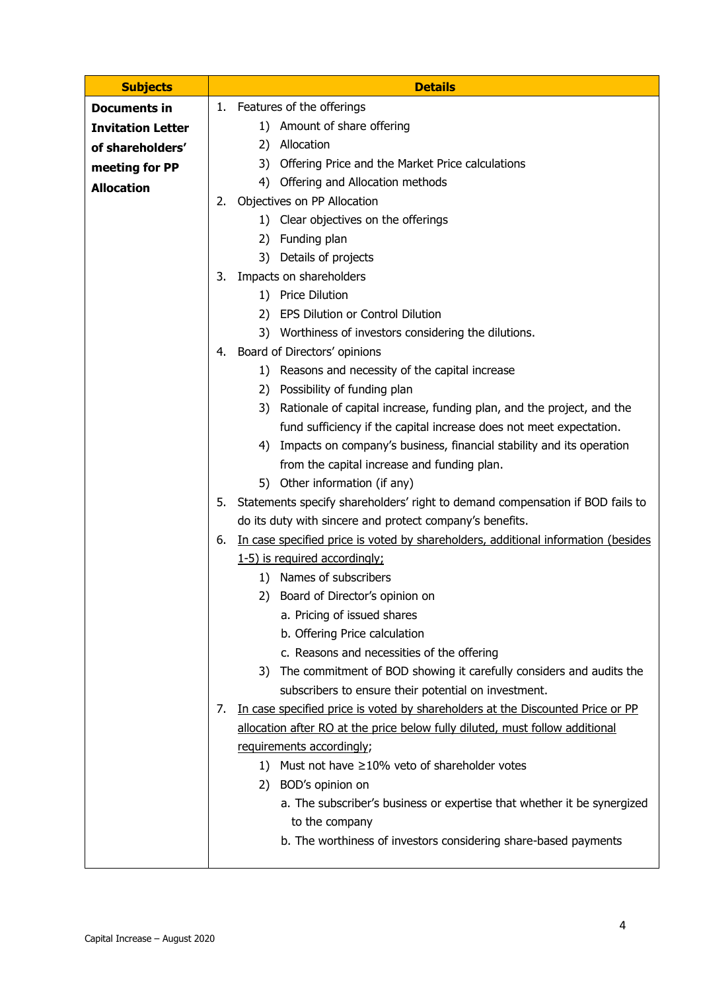| <b>Subjects</b>          | <b>Details</b>                                                                                                       |  |  |
|--------------------------|----------------------------------------------------------------------------------------------------------------------|--|--|
| <b>Documents in</b>      | 1. Features of the offerings                                                                                         |  |  |
| <b>Invitation Letter</b> | 1) Amount of share offering                                                                                          |  |  |
| of shareholders'         | 2) Allocation                                                                                                        |  |  |
| meeting for PP           | 3) Offering Price and the Market Price calculations                                                                  |  |  |
| <b>Allocation</b>        | 4) Offering and Allocation methods                                                                                   |  |  |
|                          | Objectives on PP Allocation<br>2.                                                                                    |  |  |
|                          | 1) Clear objectives on the offerings                                                                                 |  |  |
|                          | 2) Funding plan                                                                                                      |  |  |
|                          | 3) Details of projects                                                                                               |  |  |
|                          | Impacts on shareholders<br>3.                                                                                        |  |  |
|                          | 1) Price Dilution                                                                                                    |  |  |
|                          | 2) EPS Dilution or Control Dilution                                                                                  |  |  |
|                          | 3) Worthiness of investors considering the dilutions.                                                                |  |  |
|                          | 4. Board of Directors' opinions                                                                                      |  |  |
|                          | 1) Reasons and necessity of the capital increase                                                                     |  |  |
|                          | 2) Possibility of funding plan                                                                                       |  |  |
|                          | 3) Rationale of capital increase, funding plan, and the project, and the                                             |  |  |
|                          | fund sufficiency if the capital increase does not meet expectation.                                                  |  |  |
|                          | 4) Impacts on company's business, financial stability and its operation                                              |  |  |
|                          | from the capital increase and funding plan.                                                                          |  |  |
|                          | 5) Other information (if any)                                                                                        |  |  |
|                          | Statements specify shareholders' right to demand compensation if BOD fails to<br>5.                                  |  |  |
|                          | do its duty with sincere and protect company's benefits.                                                             |  |  |
|                          | In case specified price is voted by shareholders, additional information (besides<br>6.                              |  |  |
|                          | 1-5) is required accordingly;                                                                                        |  |  |
|                          | 1) Names of subscribers                                                                                              |  |  |
|                          | 2)<br>Board of Director's opinion on                                                                                 |  |  |
|                          | a. Pricing of issued shares                                                                                          |  |  |
|                          | b. Offering Price calculation                                                                                        |  |  |
|                          | c. Reasons and necessities of the offering<br>3) The commitment of BOD showing it carefully considers and audits the |  |  |
|                          | subscribers to ensure their potential on investment.                                                                 |  |  |
|                          | In case specified price is voted by shareholders at the Discounted Price or PP<br>7.                                 |  |  |
|                          |                                                                                                                      |  |  |
|                          | allocation after RO at the price below fully diluted, must follow additional<br>requirements accordingly;            |  |  |
|                          | 1) Must not have $\geq$ 10% veto of shareholder votes                                                                |  |  |
|                          | 2) BOD's opinion on                                                                                                  |  |  |
|                          | a. The subscriber's business or expertise that whether it be synergized                                              |  |  |
|                          | to the company                                                                                                       |  |  |
|                          | b. The worthiness of investors considering share-based payments                                                      |  |  |
|                          |                                                                                                                      |  |  |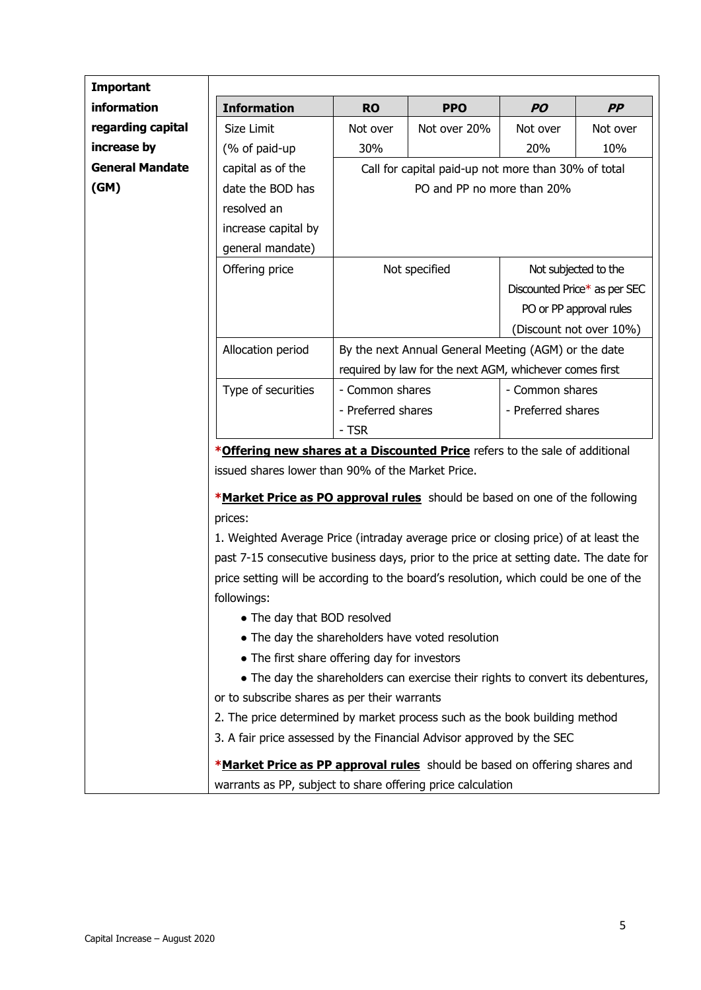| <b>Important</b>       |                                                                                                                                                                                                                                                                                                                                                                                                                                                                  |                                                                                                                                                                                                     |                                                                                 |                              |                         |  |
|------------------------|------------------------------------------------------------------------------------------------------------------------------------------------------------------------------------------------------------------------------------------------------------------------------------------------------------------------------------------------------------------------------------------------------------------------------------------------------------------|-----------------------------------------------------------------------------------------------------------------------------------------------------------------------------------------------------|---------------------------------------------------------------------------------|------------------------------|-------------------------|--|
| information            | <b>Information</b>                                                                                                                                                                                                                                                                                                                                                                                                                                               | <b>RO</b>                                                                                                                                                                                           | <b>PPO</b>                                                                      | <b>PO</b>                    | PP                      |  |
| regarding capital      | Size Limit                                                                                                                                                                                                                                                                                                                                                                                                                                                       | Not over                                                                                                                                                                                            | Not over 20%                                                                    | Not over                     | Not over                |  |
| increase by            | (% of paid-up                                                                                                                                                                                                                                                                                                                                                                                                                                                    | 30%                                                                                                                                                                                                 |                                                                                 | 20%                          | 10%                     |  |
| <b>General Mandate</b> | capital as of the                                                                                                                                                                                                                                                                                                                                                                                                                                                | Call for capital paid-up not more than 30% of total                                                                                                                                                 |                                                                                 |                              |                         |  |
| (M)                    | date the BOD has                                                                                                                                                                                                                                                                                                                                                                                                                                                 |                                                                                                                                                                                                     | PO and PP no more than 20%                                                      |                              |                         |  |
|                        | resolved an                                                                                                                                                                                                                                                                                                                                                                                                                                                      |                                                                                                                                                                                                     |                                                                                 |                              |                         |  |
|                        | increase capital by                                                                                                                                                                                                                                                                                                                                                                                                                                              |                                                                                                                                                                                                     |                                                                                 |                              |                         |  |
|                        | general mandate)                                                                                                                                                                                                                                                                                                                                                                                                                                                 |                                                                                                                                                                                                     |                                                                                 |                              |                         |  |
|                        | Offering price                                                                                                                                                                                                                                                                                                                                                                                                                                                   | Not specified<br>Not subjected to the                                                                                                                                                               |                                                                                 |                              |                         |  |
|                        |                                                                                                                                                                                                                                                                                                                                                                                                                                                                  |                                                                                                                                                                                                     |                                                                                 | Discounted Price* as per SEC |                         |  |
|                        |                                                                                                                                                                                                                                                                                                                                                                                                                                                                  |                                                                                                                                                                                                     |                                                                                 |                              | PO or PP approval rules |  |
|                        |                                                                                                                                                                                                                                                                                                                                                                                                                                                                  | (Discount not over 10%)<br>By the next Annual General Meeting (AGM) or the date                                                                                                                     |                                                                                 |                              |                         |  |
|                        | Allocation period                                                                                                                                                                                                                                                                                                                                                                                                                                                |                                                                                                                                                                                                     |                                                                                 |                              |                         |  |
|                        |                                                                                                                                                                                                                                                                                                                                                                                                                                                                  | required by law for the next AGM, whichever comes first                                                                                                                                             |                                                                                 |                              |                         |  |
|                        | Type of securities                                                                                                                                                                                                                                                                                                                                                                                                                                               | - Common shares                                                                                                                                                                                     |                                                                                 | - Common shares              |                         |  |
|                        |                                                                                                                                                                                                                                                                                                                                                                                                                                                                  | - Preferred shares                                                                                                                                                                                  |                                                                                 | - Preferred shares           |                         |  |
|                        |                                                                                                                                                                                                                                                                                                                                                                                                                                                                  | - TSR                                                                                                                                                                                               |                                                                                 |                              |                         |  |
|                        | issued shares lower than 90% of the Market Price.<br>*Market Price as PO approval rules should be based on one of the following<br>prices:<br>1. Weighted Average Price (intraday average price or closing price) of at least the<br>past 7-15 consecutive business days, prior to the price at setting date. The date for<br>price setting will be according to the board's resolution, which could be one of the<br>followings:<br>• The day that BOD resolved |                                                                                                                                                                                                     |                                                                                 |                              |                         |  |
|                        |                                                                                                                                                                                                                                                                                                                                                                                                                                                                  |                                                                                                                                                                                                     | • The day the shareholders have voted resolution                                |                              |                         |  |
|                        | • The first share offering day for investors                                                                                                                                                                                                                                                                                                                                                                                                                     |                                                                                                                                                                                                     |                                                                                 |                              |                         |  |
|                        |                                                                                                                                                                                                                                                                                                                                                                                                                                                                  |                                                                                                                                                                                                     | • The day the shareholders can exercise their rights to convert its debentures, |                              |                         |  |
|                        |                                                                                                                                                                                                                                                                                                                                                                                                                                                                  |                                                                                                                                                                                                     |                                                                                 |                              |                         |  |
|                        |                                                                                                                                                                                                                                                                                                                                                                                                                                                                  | or to subscribe shares as per their warrants<br>2. The price determined by market process such as the book building method<br>3. A fair price assessed by the Financial Advisor approved by the SEC |                                                                                 |                              |                         |  |
|                        |                                                                                                                                                                                                                                                                                                                                                                                                                                                                  |                                                                                                                                                                                                     |                                                                                 |                              |                         |  |
|                        | *Market Price as PP approval rules should be based on offering shares and<br>warrants as PP, subject to share offering price calculation                                                                                                                                                                                                                                                                                                                         |                                                                                                                                                                                                     |                                                                                 |                              |                         |  |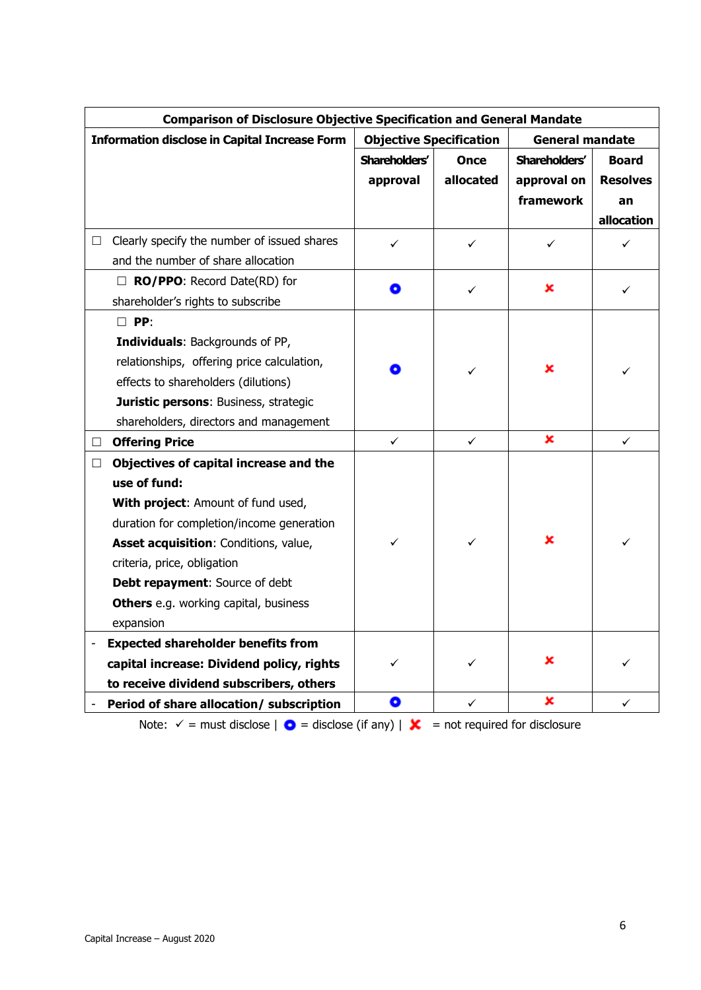| <b>Comparison of Disclosure Objective Specification and General Mandate</b> |                                |              |                        |                 |
|-----------------------------------------------------------------------------|--------------------------------|--------------|------------------------|-----------------|
| <b>Information disclose in Capital Increase Form</b>                        | <b>Objective Specification</b> |              | <b>General mandate</b> |                 |
|                                                                             | Shareholders'                  | <b>Once</b>  | Shareholders'          | Board           |
|                                                                             | approval                       | allocated    | approval on            | <b>Resolves</b> |
|                                                                             |                                |              | framework              | an              |
|                                                                             |                                |              |                        | allocation      |
| Clearly specify the number of issued shares<br>$\Box$                       | ✓                              | ✓            | ✓                      | ✓               |
| and the number of share allocation                                          |                                |              |                        |                 |
| $\Box$ RO/PPO: Record Date(RD) for                                          | O                              | $\checkmark$ | ×                      | ✓               |
| shareholder's rights to subscribe                                           |                                |              |                        |                 |
| $\Box$ PP:                                                                  |                                |              |                        |                 |
| Individuals: Backgrounds of PP,                                             |                                |              |                        |                 |
| relationships, offering price calculation,                                  | O                              | ✓            | ×                      | ✓               |
| effects to shareholders (dilutions)                                         |                                |              |                        |                 |
| Juristic persons: Business, strategic                                       |                                |              |                        |                 |
| shareholders, directors and management                                      |                                |              |                        |                 |
| <b>Offering Price</b><br>□                                                  | $\checkmark$                   | $\checkmark$ | ×                      | $\checkmark$    |
| Objectives of capital increase and the<br>$\Box$                            |                                |              |                        |                 |
| use of fund:                                                                |                                |              |                        |                 |
| With project: Amount of fund used,                                          |                                |              |                        |                 |
| duration for completion/income generation                                   |                                |              |                        |                 |
| Asset acquisition: Conditions, value,                                       | ✓                              | ✓            | ×                      | ✓               |
| criteria, price, obligation                                                 |                                |              |                        |                 |
| Debt repayment: Source of debt                                              |                                |              |                        |                 |
| Others e.g. working capital, business                                       |                                |              |                        |                 |
| expansion                                                                   |                                |              |                        |                 |
| <b>Expected shareholder benefits from</b>                                   |                                |              |                        |                 |
| capital increase: Dividend policy, rights                                   | ✓                              | ✓            | x                      |                 |
| to receive dividend subscribers, others                                     |                                |              |                        |                 |
| Period of share allocation/ subscription                                    | 0                              | ✓            | ×                      | ✓               |

Note:  $\checkmark$  = must disclose |  $\bullet$  = disclose (if any) |  $\checkmark$  = not required for disclosure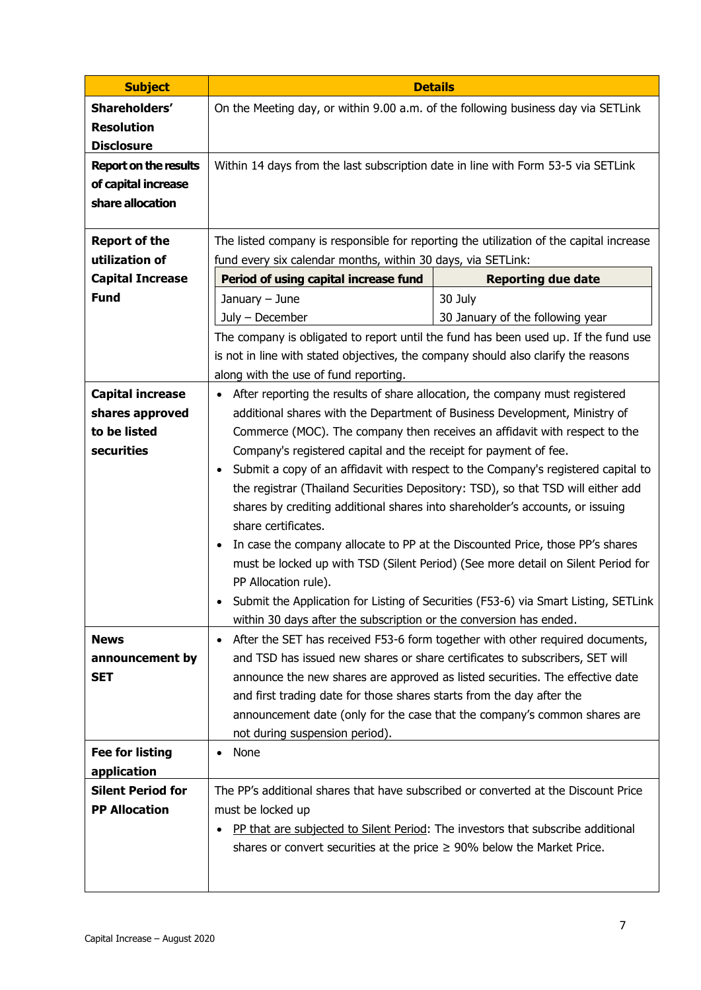| <b>Subject</b>                         | <b>Details</b>                                                                                           |                                                                                         |  |  |  |  |
|----------------------------------------|----------------------------------------------------------------------------------------------------------|-----------------------------------------------------------------------------------------|--|--|--|--|
| Shareholders'                          | On the Meeting day, or within 9.00 a.m. of the following business day via SETLink                        |                                                                                         |  |  |  |  |
| <b>Resolution</b><br><b>Disclosure</b> |                                                                                                          |                                                                                         |  |  |  |  |
| <b>Report on the results</b>           | Within 14 days from the last subscription date in line with Form 53-5 via SETLink                        |                                                                                         |  |  |  |  |
| of capital increase                    |                                                                                                          |                                                                                         |  |  |  |  |
| share allocation                       |                                                                                                          |                                                                                         |  |  |  |  |
| <b>Report of the</b>                   |                                                                                                          | The listed company is responsible for reporting the utilization of the capital increase |  |  |  |  |
| utilization of                         | fund every six calendar months, within 30 days, via SETLink:                                             |                                                                                         |  |  |  |  |
| <b>Capital Increase</b>                | Period of using capital increase fund                                                                    | <b>Reporting due date</b>                                                               |  |  |  |  |
| <b>Fund</b>                            | January - June                                                                                           | 30 July                                                                                 |  |  |  |  |
|                                        | July - December                                                                                          | 30 January of the following year                                                        |  |  |  |  |
|                                        |                                                                                                          | The company is obligated to report until the fund has been used up. If the fund use     |  |  |  |  |
|                                        | is not in line with stated objectives, the company should also clarify the reasons                       |                                                                                         |  |  |  |  |
|                                        | along with the use of fund reporting.                                                                    |                                                                                         |  |  |  |  |
| <b>Capital increase</b>                | After reporting the results of share allocation, the company must registered<br>$\bullet$                |                                                                                         |  |  |  |  |
| shares approved                        | additional shares with the Department of Business Development, Ministry of                               |                                                                                         |  |  |  |  |
| to be listed                           |                                                                                                          | Commerce (MOC). The company then receives an affidavit with respect to the              |  |  |  |  |
| securities                             | Company's registered capital and the receipt for payment of fee.                                         |                                                                                         |  |  |  |  |
|                                        | $\bullet$                                                                                                | Submit a copy of an affidavit with respect to the Company's registered capital to       |  |  |  |  |
|                                        |                                                                                                          | the registrar (Thailand Securities Depository: TSD), so that TSD will either add        |  |  |  |  |
|                                        | shares by crediting additional shares into shareholder's accounts, or issuing                            |                                                                                         |  |  |  |  |
|                                        | share certificates.                                                                                      |                                                                                         |  |  |  |  |
|                                        | In case the company allocate to PP at the Discounted Price, those PP's shares<br>$\bullet$               |                                                                                         |  |  |  |  |
|                                        | must be locked up with TSD (Silent Period) (See more detail on Silent Period for<br>PP Allocation rule). |                                                                                         |  |  |  |  |
|                                        | Submit the Application for Listing of Securities (F53-6) via Smart Listing, SETLink                      |                                                                                         |  |  |  |  |
|                                        | within 30 days after the subscription or the conversion has ended.                                       |                                                                                         |  |  |  |  |
| <b>News</b>                            | After the SET has received F53-6 form together with other required documents,<br>$\bullet$               |                                                                                         |  |  |  |  |
| announcement by                        | and TSD has issued new shares or share certificates to subscribers, SET will                             |                                                                                         |  |  |  |  |
| <b>SET</b>                             | announce the new shares are approved as listed securities. The effective date                            |                                                                                         |  |  |  |  |
|                                        | and first trading date for those shares starts from the day after the                                    |                                                                                         |  |  |  |  |
|                                        | announcement date (only for the case that the company's common shares are                                |                                                                                         |  |  |  |  |
|                                        | not during suspension period).                                                                           |                                                                                         |  |  |  |  |
| <b>Fee for listing</b>                 | None<br>$\bullet$                                                                                        |                                                                                         |  |  |  |  |
| application                            |                                                                                                          |                                                                                         |  |  |  |  |
| <b>Silent Period for</b>               | The PP's additional shares that have subscribed or converted at the Discount Price                       |                                                                                         |  |  |  |  |
| <b>PP Allocation</b>                   | must be locked up                                                                                        |                                                                                         |  |  |  |  |
|                                        |                                                                                                          | PP that are subjected to Silent Period: The investors that subscribe additional         |  |  |  |  |
|                                        | shares or convert securities at the price $\geq$ 90% below the Market Price.                             |                                                                                         |  |  |  |  |
|                                        |                                                                                                          |                                                                                         |  |  |  |  |
|                                        |                                                                                                          |                                                                                         |  |  |  |  |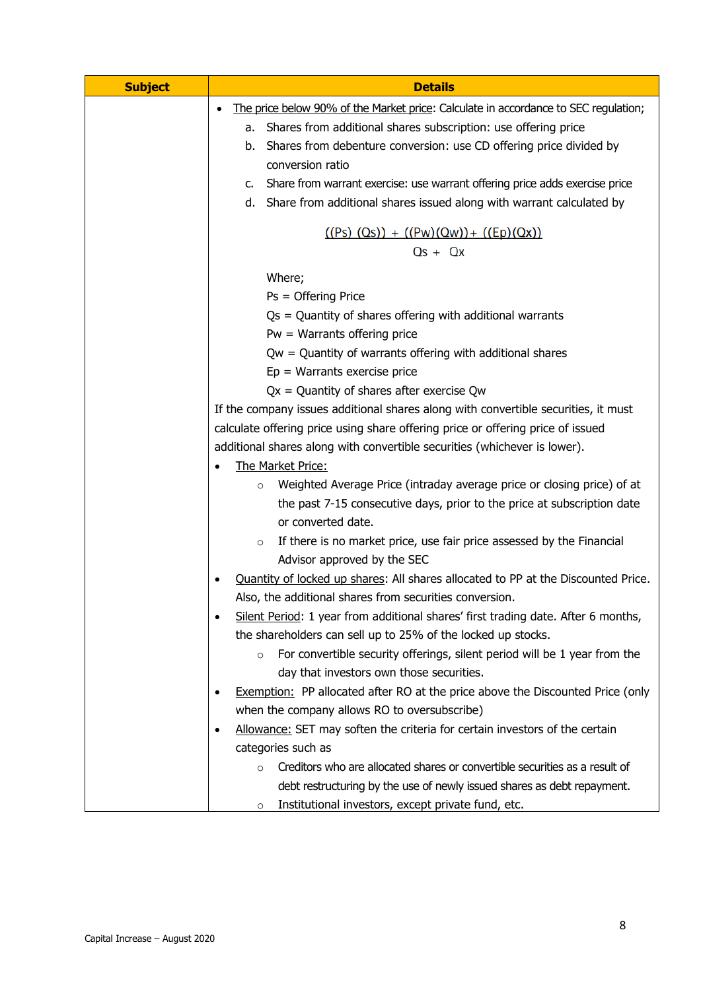| <b>Subject</b> | <b>Details</b>                                                                                                                                                        |  |  |
|----------------|-----------------------------------------------------------------------------------------------------------------------------------------------------------------------|--|--|
|                | The price below 90% of the Market price: Calculate in accordance to SEC regulation;                                                                                   |  |  |
|                | Shares from additional shares subscription: use offering price<br>а.                                                                                                  |  |  |
|                | Shares from debenture conversion: use CD offering price divided by<br>b.                                                                                              |  |  |
|                | conversion ratio                                                                                                                                                      |  |  |
|                | Share from warrant exercise: use warrant offering price adds exercise price<br>C.                                                                                     |  |  |
|                | Share from additional shares issued along with warrant calculated by<br>d.                                                                                            |  |  |
|                | $((Ps) (Qs)) + ((Pw)(Qw)) + ((Ep)(Qx))$                                                                                                                               |  |  |
|                | $Qs + Qx$                                                                                                                                                             |  |  |
|                | Where;                                                                                                                                                                |  |  |
|                | Ps = Offering Price                                                                                                                                                   |  |  |
|                | $Qs =$ Quantity of shares offering with additional warrants                                                                                                           |  |  |
|                | $Pw = Warrants$ offering price                                                                                                                                        |  |  |
|                | $Qw =$ Quantity of warrants offering with additional shares                                                                                                           |  |  |
|                | $Ep = Warrants$ exercise price                                                                                                                                        |  |  |
|                | $Qx =$ Quantity of shares after exercise Qw                                                                                                                           |  |  |
|                | If the company issues additional shares along with convertible securities, it must<br>calculate offering price using share offering price or offering price of issued |  |  |
|                |                                                                                                                                                                       |  |  |
|                | additional shares along with convertible securities (whichever is lower).                                                                                             |  |  |
|                | The Market Price:                                                                                                                                                     |  |  |
|                | Weighted Average Price (intraday average price or closing price) of at<br>$\circ$                                                                                     |  |  |
|                | the past 7-15 consecutive days, prior to the price at subscription date                                                                                               |  |  |
|                | or converted date.                                                                                                                                                    |  |  |
|                | If there is no market price, use fair price assessed by the Financial<br>$\circ$<br>Advisor approved by the SEC                                                       |  |  |
|                | Quantity of locked up shares: All shares allocated to PP at the Discounted Price.<br>$\bullet$                                                                        |  |  |
|                | Also, the additional shares from securities conversion.                                                                                                               |  |  |
|                | Silent Period: 1 year from additional shares' first trading date. After 6 months,<br>٠                                                                                |  |  |
|                | the shareholders can sell up to 25% of the locked up stocks.                                                                                                          |  |  |
|                | For convertible security offerings, silent period will be 1 year from the<br>$\circ$                                                                                  |  |  |
|                | day that investors own those securities.                                                                                                                              |  |  |
|                | <b>Exemption:</b> PP allocated after RO at the price above the Discounted Price (only<br>$\bullet$                                                                    |  |  |
|                | when the company allows RO to oversubscribe)                                                                                                                          |  |  |
|                | Allowance: SET may soften the criteria for certain investors of the certain<br>٠                                                                                      |  |  |
|                | categories such as                                                                                                                                                    |  |  |
|                | Creditors who are allocated shares or convertible securities as a result of<br>$\Omega$                                                                               |  |  |
|                | debt restructuring by the use of newly issued shares as debt repayment.                                                                                               |  |  |
|                | Institutional investors, except private fund, etc.<br>$\circ$                                                                                                         |  |  |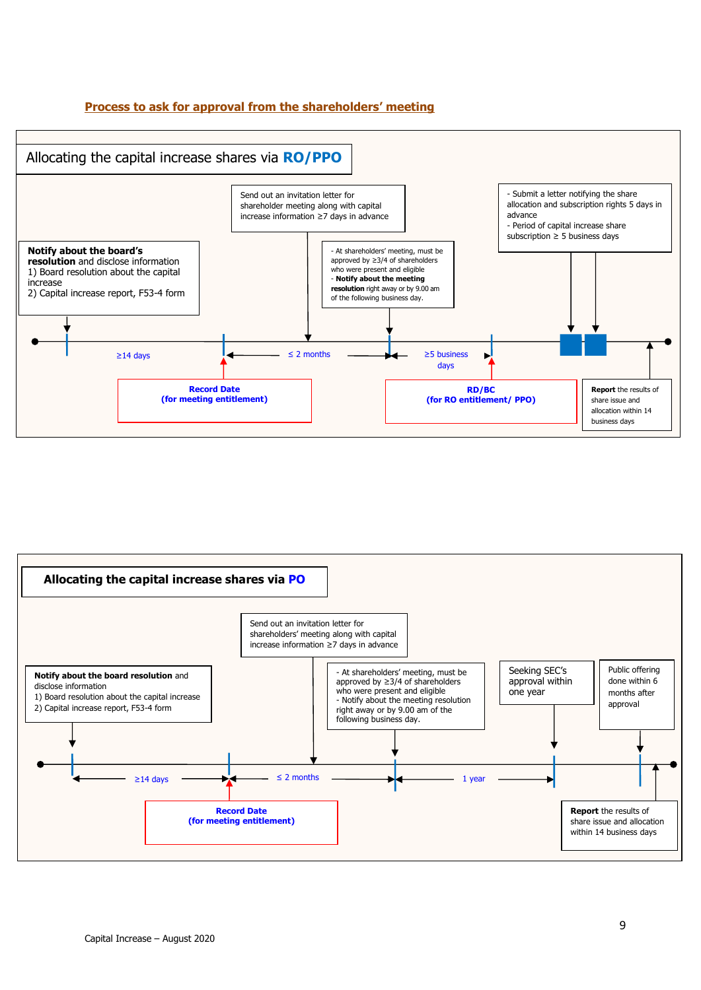#### **Process to ask for approval from the shareholders' meeting**



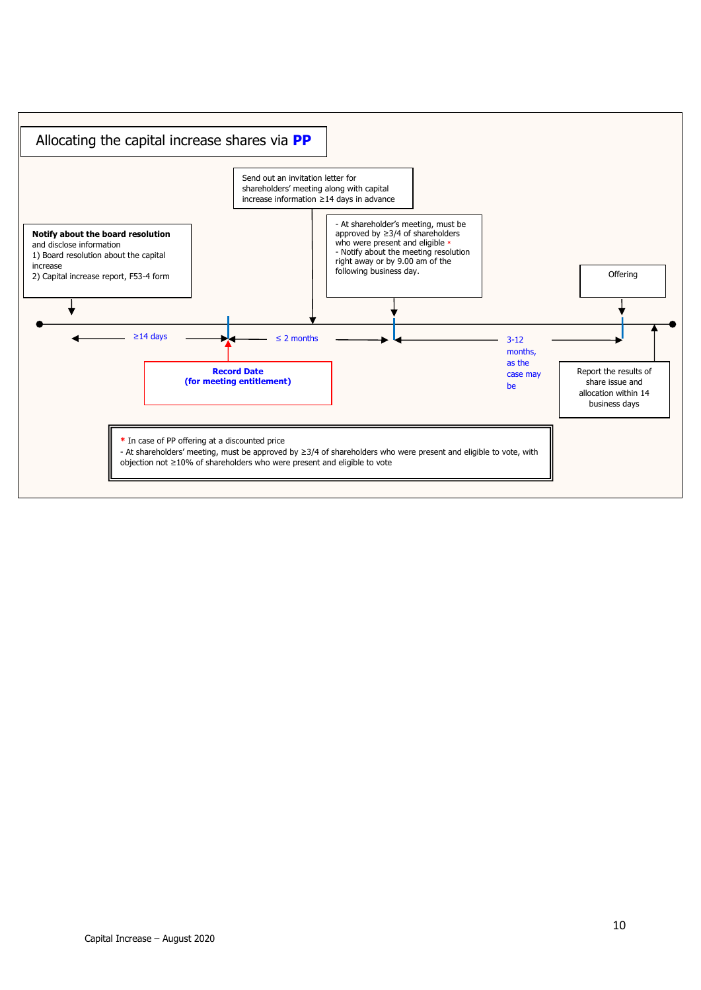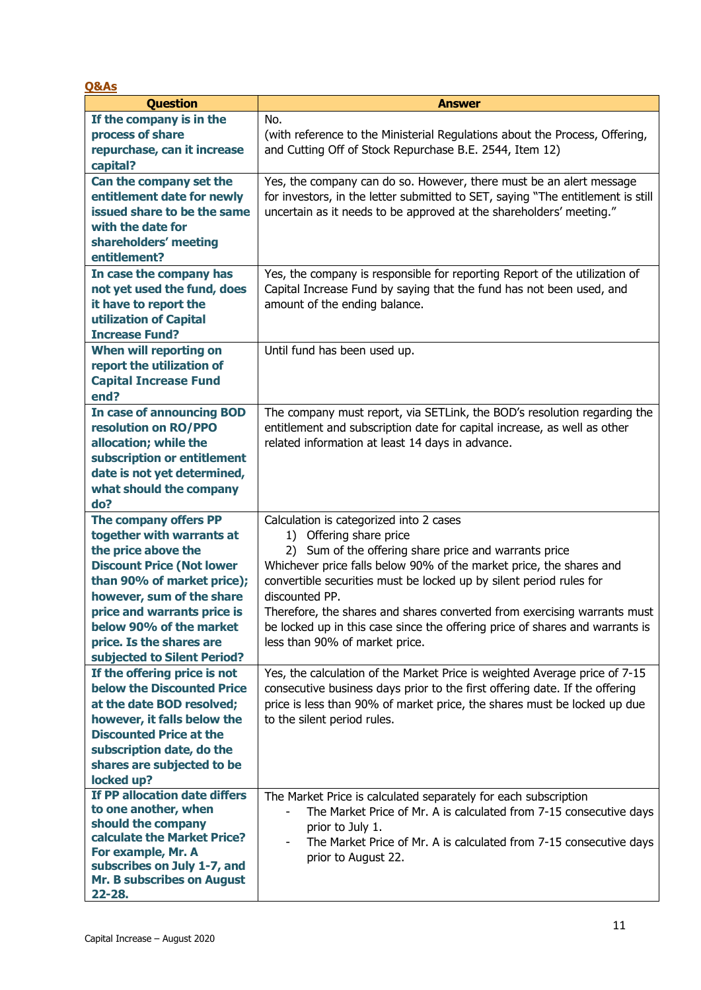| <b>Q&amp;As</b>                                                                                                                                                                                                                                                                               |                                                                                                                                                                                                                                                                                                                                                                                                                                                                                           |
|-----------------------------------------------------------------------------------------------------------------------------------------------------------------------------------------------------------------------------------------------------------------------------------------------|-------------------------------------------------------------------------------------------------------------------------------------------------------------------------------------------------------------------------------------------------------------------------------------------------------------------------------------------------------------------------------------------------------------------------------------------------------------------------------------------|
| <b>Question</b>                                                                                                                                                                                                                                                                               | <b>Answer</b>                                                                                                                                                                                                                                                                                                                                                                                                                                                                             |
| If the company is in the<br>process of share<br>repurchase, can it increase<br>capital?                                                                                                                                                                                                       | No.<br>(with reference to the Ministerial Regulations about the Process, Offering,<br>and Cutting Off of Stock Repurchase B.E. 2544, Item 12)                                                                                                                                                                                                                                                                                                                                             |
| Can the company set the<br>entitlement date for newly<br>issued share to be the same<br>with the date for<br>shareholders' meeting<br>entitlement?<br>In case the company has                                                                                                                 | Yes, the company can do so. However, there must be an alert message<br>for investors, in the letter submitted to SET, saying "The entitlement is still<br>uncertain as it needs to be approved at the shareholders' meeting."<br>Yes, the company is responsible for reporting Report of the utilization of                                                                                                                                                                               |
| not yet used the fund, does<br>it have to report the<br>utilization of Capital<br><b>Increase Fund?</b>                                                                                                                                                                                       | Capital Increase Fund by saying that the fund has not been used, and<br>amount of the ending balance.                                                                                                                                                                                                                                                                                                                                                                                     |
| When will reporting on<br>report the utilization of<br><b>Capital Increase Fund</b><br>end?                                                                                                                                                                                                   | Until fund has been used up.                                                                                                                                                                                                                                                                                                                                                                                                                                                              |
| <b>In case of announcing BOD</b><br>resolution on RO/PPO<br>allocation; while the<br>subscription or entitlement<br>date is not yet determined,<br>what should the company<br>do?                                                                                                             | The company must report, via SETLink, the BOD's resolution regarding the<br>entitlement and subscription date for capital increase, as well as other<br>related information at least 14 days in advance.                                                                                                                                                                                                                                                                                  |
| The company offers PP<br>together with warrants at<br>the price above the<br><b>Discount Price (Not lower</b><br>than 90% of market price);<br>however, sum of the share<br>price and warrants price is<br>below 90% of the market<br>price. Is the shares are<br>subjected to Silent Period? | Calculation is categorized into 2 cases<br>1) Offering share price<br>2) Sum of the offering share price and warrants price<br>Whichever price falls below 90% of the market price, the shares and<br>convertible securities must be locked up by silent period rules for<br>discounted PP.<br>Therefore, the shares and shares converted from exercising warrants must<br>be locked up in this case since the offering price of shares and warrants is<br>less than 90% of market price. |
| If the offering price is not<br>below the Discounted Price<br>at the date BOD resolved;<br>however, it falls below the<br><b>Discounted Price at the</b><br>subscription date, do the<br>shares are subjected to be<br>locked up?                                                             | Yes, the calculation of the Market Price is weighted Average price of 7-15<br>consecutive business days prior to the first offering date. If the offering<br>price is less than 90% of market price, the shares must be locked up due<br>to the silent period rules.                                                                                                                                                                                                                      |
| If PP allocation date differs<br>to one another, when<br>should the company<br>calculate the Market Price?<br>For example, Mr. A<br>subscribes on July 1-7, and<br>Mr. B subscribes on August<br>22-28.                                                                                       | The Market Price is calculated separately for each subscription<br>The Market Price of Mr. A is calculated from 7-15 consecutive days<br>prior to July 1.<br>The Market Price of Mr. A is calculated from 7-15 consecutive days<br>$\overline{\phantom{a}}$<br>prior to August 22.                                                                                                                                                                                                        |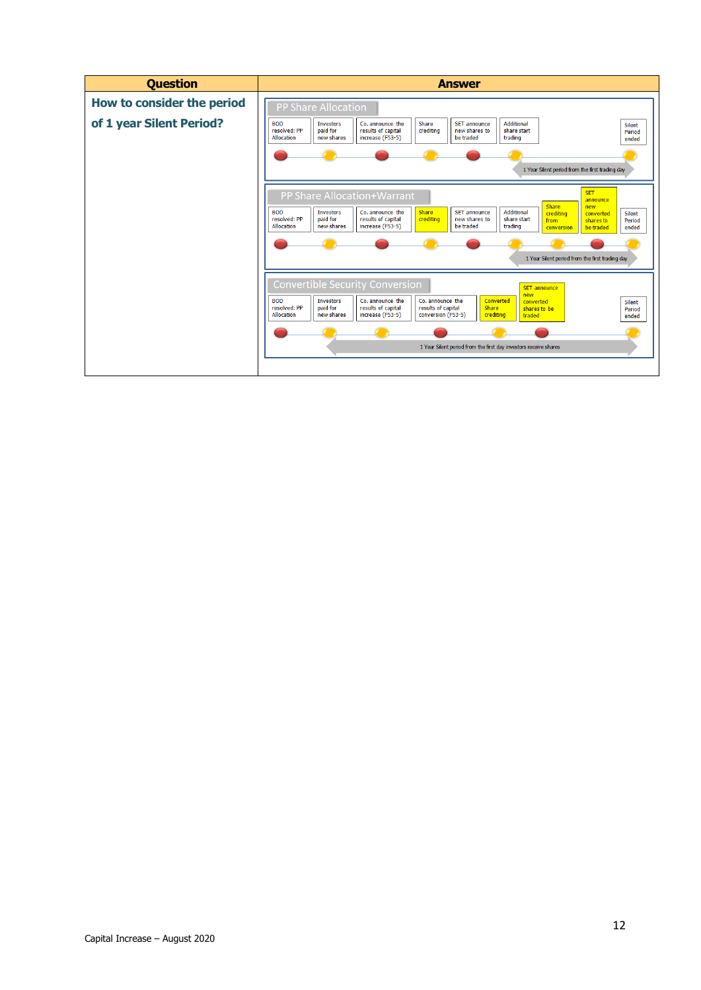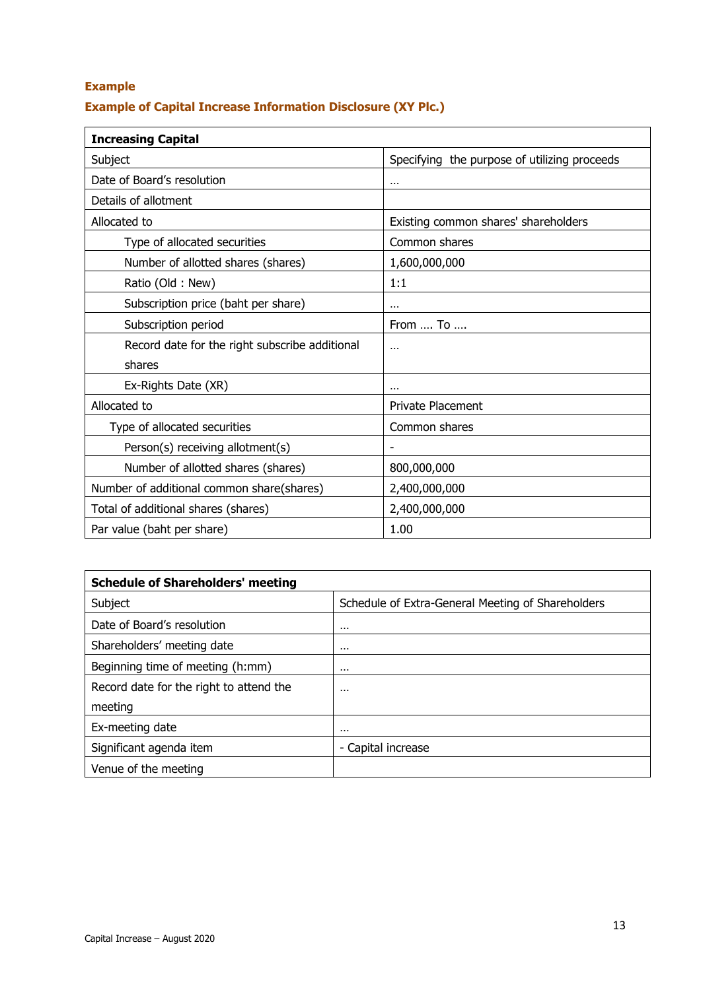### **Example**

### **Example of Capital Increase Information Disclosure (XY Plc.)**

| <b>Increasing Capital</b>                      |                                              |
|------------------------------------------------|----------------------------------------------|
| Subject                                        | Specifying the purpose of utilizing proceeds |
| Date of Board's resolution                     |                                              |
| Details of allotment                           |                                              |
| Allocated to                                   | Existing common shares' shareholders         |
| Type of allocated securities                   | Common shares                                |
| Number of allotted shares (shares)             | 1,600,000,000                                |
| Ratio (Old: New)                               | 1:1                                          |
| Subscription price (baht per share)            | $\cdots$                                     |
| Subscription period                            | From , To                                    |
| Record date for the right subscribe additional | $\cdots$                                     |
| shares                                         |                                              |
| Ex-Rights Date (XR)                            | $\cdots$                                     |
| Allocated to                                   | <b>Private Placement</b>                     |
| Type of allocated securities                   | Common shares                                |
| Person(s) receiving allotment(s)               |                                              |
| Number of allotted shares (shares)             | 800,000,000                                  |
| Number of additional common share(shares)      | 2,400,000,000                                |
| Total of additional shares (shares)            | 2,400,000,000                                |
| Par value (baht per share)                     | 1.00                                         |

| <b>Schedule of Shareholders' meeting</b> |                                                   |  |  |  |
|------------------------------------------|---------------------------------------------------|--|--|--|
| Subject                                  | Schedule of Extra-General Meeting of Shareholders |  |  |  |
| Date of Board's resolution               | $\cdots$                                          |  |  |  |
| Shareholders' meeting date               | $\cdots$                                          |  |  |  |
| Beginning time of meeting (h:mm)         | $\cdots$                                          |  |  |  |
| Record date for the right to attend the  | $\cdots$                                          |  |  |  |
| meeting                                  |                                                   |  |  |  |
| Ex-meeting date                          | $\cdots$                                          |  |  |  |
| Significant agenda item                  | - Capital increase                                |  |  |  |
| Venue of the meeting                     |                                                   |  |  |  |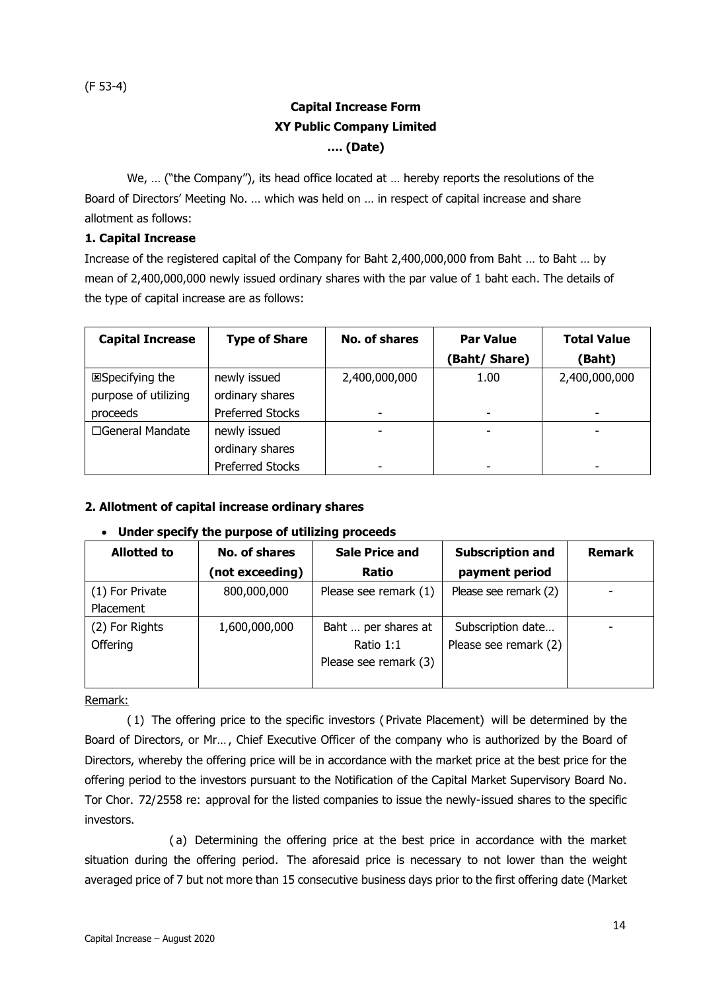### **Capital Increase Form XY Public Company Limited …. (Date)**

We, ... ("the Company"), its head office located at ... hereby reports the resolutions of the Board of Directors' Meeting No. … which was held on … in respect of capital increase and share allotment as follows:

#### **1. Capital Increase**

Increase of the registered capital of the Company for Baht 2,400,000,000 from Baht … to Baht … by mean of 2,400,000,000 newly issued ordinary shares with the par value of 1 baht each. The details of the type of capital increase are as follows:

| <b>Capital Increase</b> | <b>Type of Share</b>    | No. of shares | <b>Par Value</b> | <b>Total Value</b> |
|-------------------------|-------------------------|---------------|------------------|--------------------|
|                         |                         |               | (Baht/ Share)    | (Baht)             |
| <b>E</b> Specifying the | newly issued            | 2,400,000,000 | 1.00             | 2,400,000,000      |
| purpose of utilizing    | ordinary shares         |               |                  |                    |
| proceeds                | <b>Preferred Stocks</b> |               | -                | ٠                  |
| □General Mandate        | newly issued            |               |                  |                    |
|                         | ordinary shares         |               |                  |                    |
|                         | <b>Preferred Stocks</b> |               |                  | -                  |

#### **2. Allotment of capital increase ordinary shares**

#### • **Under specify the purpose of utilizing proceeds**

| <b>Allotted to</b> | No. of shares   | <b>Sale Price and</b> | <b>Subscription and</b> | <b>Remark</b> |
|--------------------|-----------------|-----------------------|-------------------------|---------------|
|                    | (not exceeding) | Ratio                 | payment period          |               |
| (1) For Private    | 800,000,000     | Please see remark (1) | Please see remark (2)   |               |
| Placement          |                 |                       |                         |               |
| (2) For Rights     | 1,600,000,000   | Baht  per shares at   | Subscription date       |               |
| Offering           |                 | Ratio 1:1             | Please see remark (2)   |               |
|                    |                 | Please see remark (3) |                         |               |
|                    |                 |                       |                         |               |

Remark:

( 1) The offering price to the specific investors ( Private Placement) will be determined by the Board of Directors, or Mr… , Chief Executive Officer of the company who is authorized by the Board of Directors, whereby the offering price will be in accordance with the market price at the best price for the offering period to the investors pursuant to the Notification of the Capital Market Supervisory Board No. Tor Chor. 72/2558 re: approval for the listed companies to issue the newly-issued shares to the specific investors.

( a) Determining the offering price at the best price in accordance with the market situation during the offering period. The aforesaid price is necessary to not lower than the weight averaged price of 7 but not more than 15 consecutive business days prior to the first offering date (Market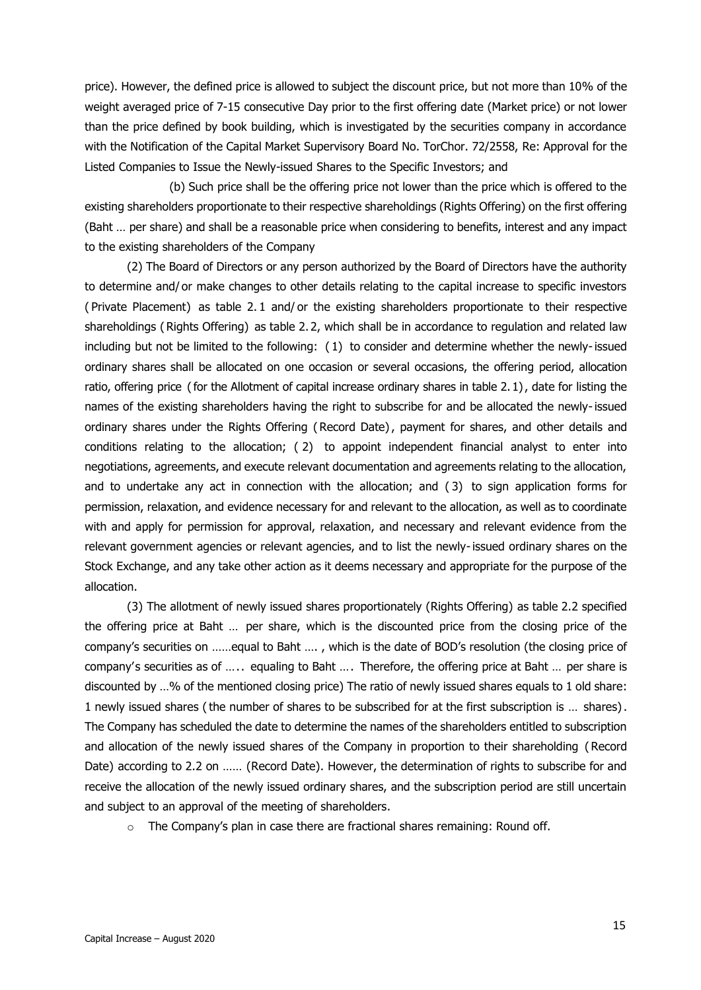price). However, the defined price is allowed to subject the discount price, but not more than 10% of the weight averaged price of 7-15 consecutive Day prior to the first offering date (Market price) or not lower than the price defined by book building, which is investigated by the securities company in accordance with the Notification of the Capital Market Supervisory Board No. TorChor. 72/2558, Re: Approval for the Listed Companies to Issue the Newly-issued Shares to the Specific Investors; and

(b) Such price shall be the offering price not lower than the price which is offered to the existing shareholders proportionate to their respective shareholdings (Rights Offering) on the first offering (Baht … per share) and shall be a reasonable price when considering to benefits, interest and any impact to the existing shareholders of the Company

(2) The Board of Directors or any person authorized by the Board of Directors have the authority to determine and/ or make changes to other details relating to the capital increase to specific investors ( Private Placement) as table 2. 1 and/ or the existing shareholders proportionate to their respective shareholdings ( Rights Offering) as table 2. 2, which shall be in accordance to regulation and related law including but not be limited to the following: ( 1) to consider and determine whether the newly-issued ordinary shares shall be allocated on one occasion or several occasions, the offering period, allocation ratio, offering price (for the Allotment of capital increase ordinary shares in table 2. 1), date for listing the names of the existing shareholders having the right to subscribe for and be allocated the newly-issued ordinary shares under the Rights Offering ( Record Date), payment for shares, and other details and conditions relating to the allocation; ( 2) to appoint independent financial analyst to enter into negotiations, agreements, and execute relevant documentation and agreements relating to the allocation, and to undertake any act in connection with the allocation; and ( 3) to sign application forms for permission, relaxation, and evidence necessary for and relevant to the allocation, as well as to coordinate with and apply for permission for approval, relaxation, and necessary and relevant evidence from the relevant government agencies or relevant agencies, and to list the newly-issued ordinary shares on the Stock Exchange, and any take other action as it deems necessary and appropriate for the purpose of the allocation.

(3) The allotment of newly issued shares proportionately (Rights Offering) as table 2.2 specified the offering price at Baht … per share, which is the discounted price from the closing price of the company's securities on ……equal to Baht …. , which is the date of BOD's resolution (the closing price of company's securities as of ..... equaling to Baht .... Therefore, the offering price at Baht ... per share is discounted by …% of the mentioned closing price) The ratio of newly issued shares equals to 1 old share: 1 newly issued shares (the number of shares to be subscribed for at the first subscription is … shares) . The Company has scheduled the date to determine the names of the shareholders entitled to subscription and allocation of the newly issued shares of the Company in proportion to their shareholding ( Record Date) according to 2.2 on …… (Record Date). However, the determination of rights to subscribe for and receive the allocation of the newly issued ordinary shares, and the subscription period are still uncertain and subject to an approval of the meeting of shareholders.

o The Company's plan in case there are fractional shares remaining: Round off.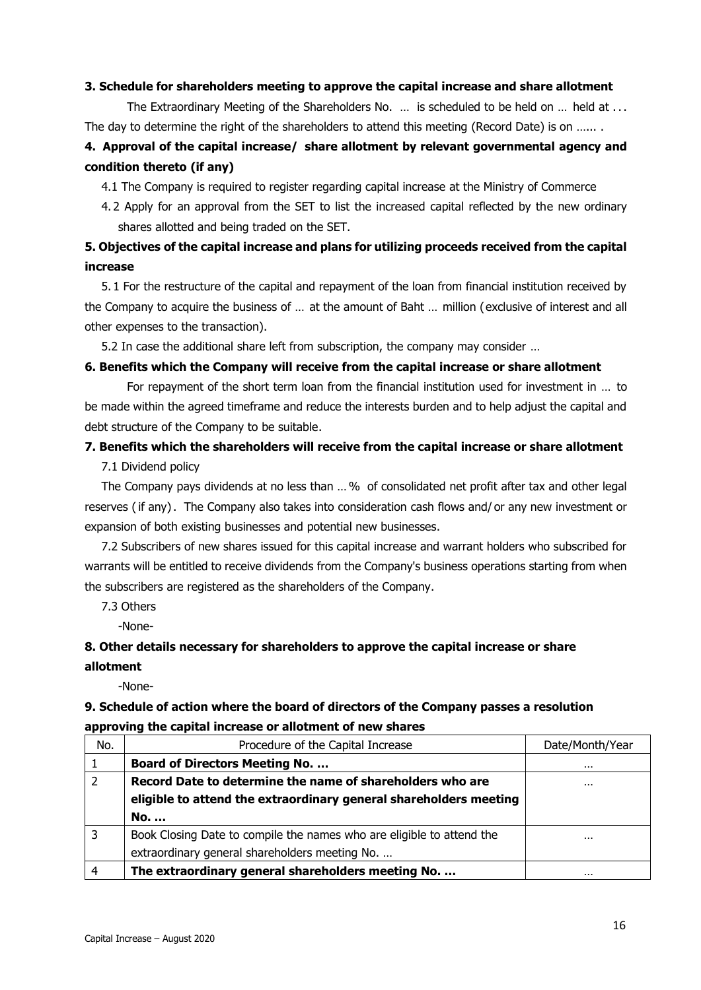#### **3. Schedule for shareholders meeting to approve the capital increase and share allotment**

The Extraordinary Meeting of the Shareholders No. ... is scheduled to be held on ... held at ... The day to determine the right of the shareholders to attend this meeting (Record Date) is on .......

### **4. Approval of the capital increase/ share allotment by relevant governmental agency and condition thereto (if any)**

4.1 The Company is required to register regarding capital increase at the Ministry of Commerce

4. 2 Apply for an approval from the SET to list the increased capital reflected by the new ordinary shares allotted and being traded on the SET.

### **5. Objectives of the capital increase and plans for utilizing proceeds received from the capital increase**

5. 1 For the restructure of the capital and repayment of the loan from financial institution received by the Company to acquire the business of … at the amount of Baht … million (exclusive of interest and all other expenses to the transaction).

5.2 In case the additional share left from subscription, the company may consider …

#### **6. Benefits which the Company will receive from the capital increase or share allotment**

For repayment of the short term loan from the financial institution used for investment in … to be made within the agreed timeframe and reduce the interests burden and to help adjust the capital and debt structure of the Company to be suitable.

#### **7. Benefits which the shareholders will receive from the capital increase or share allotment**  7.1 Dividend policy

The Company pays dividends at no less than …% of consolidated net profit after tax and other legal reserves (if any) . The Company also takes into consideration cash flows and/ or any new investment or expansion of both existing businesses and potential new businesses.

7.2 Subscribers of new shares issued for this capital increase and warrant holders who subscribed for warrants will be entitled to receive dividends from the Company's business operations starting from when the subscribers are registered as the shareholders of the Company.

7.3 Others

-None-

### **8. Other details necessary for shareholders to approve the capital increase or share allotment**

-None-

#### **9. Schedule of action where the board of directors of the Company passes a resolution approving the capital increase or allotment of new shares**

| No. | Procedure of the Capital Increase                                     | Date/Month/Year |
|-----|-----------------------------------------------------------------------|-----------------|
|     | <b>Board of Directors Meeting No</b>                                  | $\cdots$        |
|     | Record Date to determine the name of shareholders who are             | $\cdots$        |
|     | eligible to attend the extraordinary general shareholders meeting     |                 |
|     | No.                                                                   |                 |
|     | Book Closing Date to compile the names who are eligible to attend the | $\cdots$        |
|     | extraordinary general shareholders meeting No.                        |                 |
| 4   | The extraordinary general shareholders meeting No.                    | $\cdots$        |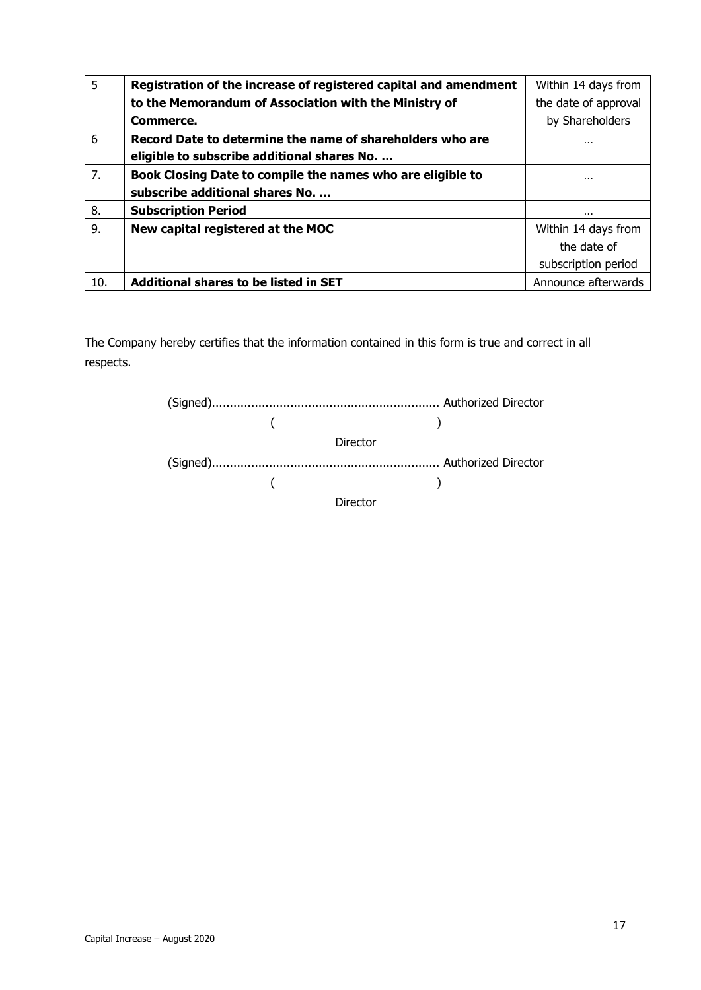| 5   | Registration of the increase of registered capital and amendment | Within 14 days from  |
|-----|------------------------------------------------------------------|----------------------|
|     | to the Memorandum of Association with the Ministry of            | the date of approval |
|     | Commerce.                                                        | by Shareholders      |
| 6   | Record Date to determine the name of shareholders who are        |                      |
|     | eligible to subscribe additional shares No.                      |                      |
| 7.  | Book Closing Date to compile the names who are eligible to       |                      |
|     | subscribe additional shares No.                                  |                      |
| 8.  | <b>Subscription Period</b>                                       |                      |
| 9.  | New capital registered at the MOC                                | Within 14 days from  |
|     |                                                                  | the date of          |
|     |                                                                  | subscription period  |
| 10. | <b>Additional shares to be listed in SET</b>                     | Announce afterwards  |

The Company hereby certifies that the information contained in this form is true and correct in all respects.

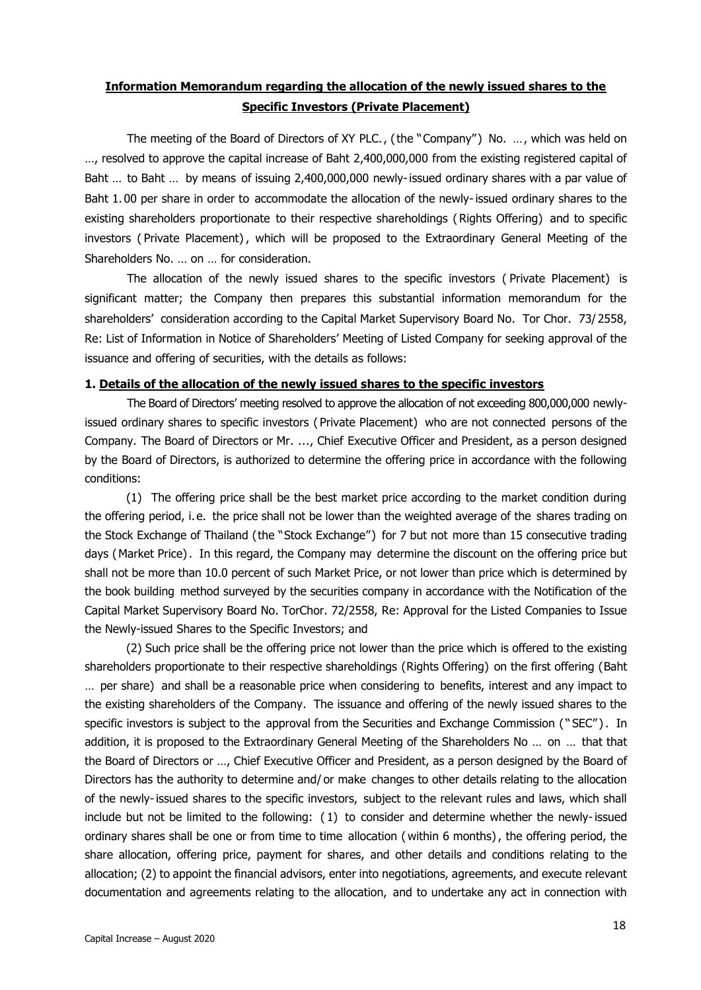### **Information Memorandum regarding the allocation of the newly issued shares to the Specific Investors (Private Placement)**

The meeting of the Board of Directors of XY PLC., (the "Company") No. …, which was held on …, resolved to approve the capital increase of Baht 2,400,000,000 from the existing registered capital of Baht … to Baht … by means of issuing 2,400,000,000 newly-issued ordinary shares with a par value of Baht 1. 00 per share in order to accommodate the allocation of the newly-issued ordinary shares to the existing shareholders proportionate to their respective shareholdings ( Rights Offering) and to specific investors ( Private Placement) , which will be proposed to the Extraordinary General Meeting of the Shareholders No. … on … for consideration.

The allocation of the newly issued shares to the specific investors ( Private Placement) is significant matter; the Company then prepares this substantial information memorandum for the shareholders' consideration according to the Capital Market Supervisory Board No. Tor Chor. 73/ 2558, Re: List of Information in Notice of Shareholders' Meeting of Listed Company for seeking approval of the issuance and offering of securities, with the details as follows:

#### **1. Details of the allocation of the newly issued shares to the specific investors**

The Board of Directors' meeting resolved to approve the allocation of not exceeding 800,000,000 newlyissued ordinary shares to specific investors ( Private Placement) who are not connected persons of the Company. The Board of Directors or Mr. ..., Chief Executive Officer and President, as a person designed by the Board of Directors, is authorized to determine the offering price in accordance with the following conditions:

(1) The offering price shall be the best market price according to the market condition during the offering period, i.e. the price shall not be lower than the weighted average of the shares trading on the Stock Exchange of Thailand (the "Stock Exchange") for 7 but not more than 15 consecutive trading days (Market Price). In this regard, the Company may determine the discount on the offering price but shall not be more than 10.0 percent of such Market Price, or not lower than price which is determined by the book building method surveyed by the securities company in accordance with the Notification of the Capital Market Supervisory Board No. TorChor. 72/2558, Re: Approval for the Listed Companies to Issue the Newly-issued Shares to the Specific Investors; and

(2) Such price shall be the offering price not lower than the price which is offered to the existing shareholders proportionate to their respective shareholdings (Rights Offering) on the first offering (Baht … per share) and shall be a reasonable price when considering to benefits, interest and any impact to the existing shareholders of the Company. The issuance and offering of the newly issued shares to the specific investors is subject to the approval from the Securities and Exchange Commission ("SEC"). In addition, it is proposed to the Extraordinary General Meeting of the Shareholders No … on … that that the Board of Directors or …, Chief Executive Officer and President, as a person designed by the Board of Directors has the authority to determine and/ or make changes to other details relating to the allocation of the newly-issued shares to the specific investors, subject to the relevant rules and laws, which shall include but not be limited to the following: ( 1) to consider and determine whether the newly-issued ordinary shares shall be one or from time to time allocation ( within 6 months), the offering period, the share allocation, offering price, payment for shares, and other details and conditions relating to the allocation; (2) to appoint the financial advisors, enter into negotiations, agreements, and execute relevant documentation and agreements relating to the allocation, and to undertake any act in connection with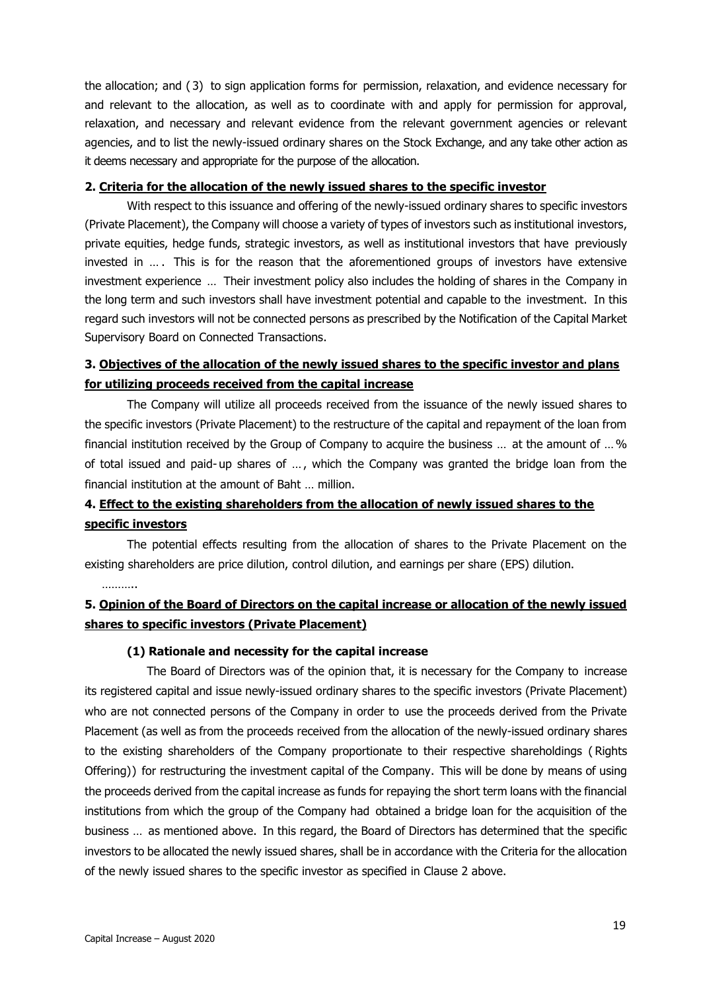the allocation; and (3) to sign application forms for permission, relaxation, and evidence necessary for and relevant to the allocation, as well as to coordinate with and apply for permission for approval, relaxation, and necessary and relevant evidence from the relevant government agencies or relevant agencies, and to list the newly-issued ordinary shares on the Stock Exchange, and any take other action as it deems necessary and appropriate for the purpose of the allocation.

#### **2. Criteria for the allocation of the newly issued shares to the specific investor**

With respect to this issuance and offering of the newly-issued ordinary shares to specific investors (Private Placement), the Company will choose a variety of types of investors such as institutional investors, private equities, hedge funds, strategic investors, as well as institutional investors that have previously invested in … . This is for the reason that the aforementioned groups of investors have extensive investment experience … Their investment policy also includes the holding of shares in the Company in the long term and such investors shall have investment potential and capable to the investment. In this regard such investors will not be connected persons as prescribed by the Notification of the Capital Market Supervisory Board on Connected Transactions.

### **3. Objectives of the allocation of the newly issued shares to the specific investor and plans for utilizing proceeds received from the capital increase**

The Company will utilize all proceeds received from the issuance of the newly issued shares to the specific investors (Private Placement) to the restructure of the capital and repayment of the loan from financial institution received by the Group of Company to acquire the business … at the amount of …% of total issued and paid- up shares of … , which the Company was granted the bridge loan from the financial institution at the amount of Baht … million.

### **4. Effect to the existing shareholders from the allocation of newly issued shares to the specific investors**

The potential effects resulting from the allocation of shares to the Private Placement on the existing shareholders are price dilution, control dilution, and earnings per share (EPS) dilution.

………..

### **5. Opinion of the Board of Directors on the capital increase or allocation of the newly issued shares to specific investors (Private Placement)**

#### **(1) Rationale and necessity for the capital increase**

The Board of Directors was of the opinion that, it is necessary for the Company to increase its registered capital and issue newly-issued ordinary shares to the specific investors (Private Placement) who are not connected persons of the Company in order to use the proceeds derived from the Private Placement (as well as from the proceeds received from the allocation of the newly-issued ordinary shares to the existing shareholders of the Company proportionate to their respective shareholdings ( Rights Offering)) for restructuring the investment capital of the Company. This will be done by means of using the proceeds derived from the capital increase as funds for repaying the short term loans with the financial institutions from which the group of the Company had obtained a bridge loan for the acquisition of the business … as mentioned above. In this regard, the Board of Directors has determined that the specific investors to be allocated the newly issued shares, shall be in accordance with the Criteria for the allocation of the newly issued shares to the specific investor as specified in Clause 2 above.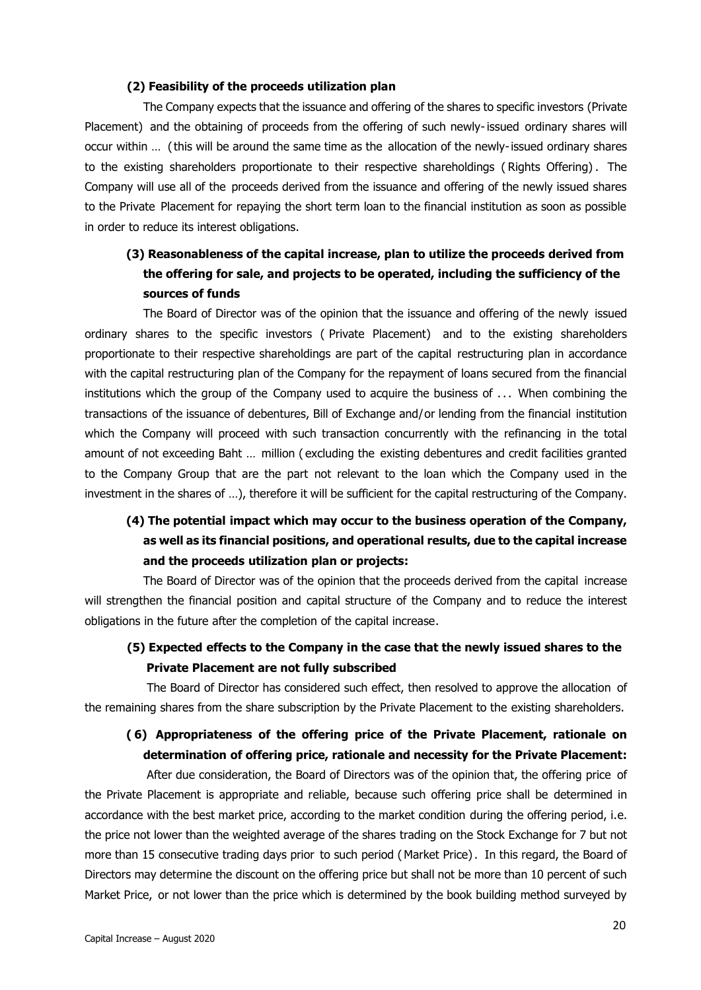#### **(2) Feasibility of the proceeds utilization plan**

The Company expects that the issuance and offering of the shares to specific investors (Private Placement) and the obtaining of proceeds from the offering of such newly-issued ordinary shares will occur within … (this will be around the same time as the allocation of the newly-issued ordinary shares to the existing shareholders proportionate to their respective shareholdings ( Rights Offering) . The Company will use all of the proceeds derived from the issuance and offering of the newly issued shares to the Private Placement for repaying the short term loan to the financial institution as soon as possible in order to reduce its interest obligations.

### **(3) Reasonableness of the capital increase, plan to utilize the proceeds derived from the offering for sale, and projects to be operated, including the sufficiency of the sources of funds**

The Board of Director was of the opinion that the issuance and offering of the newly issued ordinary shares to the specific investors ( Private Placement) and to the existing shareholders proportionate to their respective shareholdings are part of the capital restructuring plan in accordance with the capital restructuring plan of the Company for the repayment of loans secured from the financial institutions which the group of the Company used to acquire the business of ... When combining the transactions of the issuance of debentures, Bill of Exchange and/or lending from the financial institution which the Company will proceed with such transaction concurrently with the refinancing in the total amount of not exceeding Baht … million ( excluding the existing debentures and credit facilities granted to the Company Group that are the part not relevant to the loan which the Company used in the investment in the shares of …), therefore it will be sufficient for the capital restructuring of the Company.

### **(4) The potential impact which may occur to the business operation of the Company, as well as its financial positions, and operational results, due to the capital increase and the proceeds utilization plan or projects:**

The Board of Director was of the opinion that the proceeds derived from the capital increase will strengthen the financial position and capital structure of the Company and to reduce the interest obligations in the future after the completion of the capital increase.

### **(5) Expected effects to the Company in the case that the newly issued shares to the Private Placement are not fully subscribed**

The Board of Director has considered such effect, then resolved to approve the allocation of the remaining shares from the share subscription by the Private Placement to the existing shareholders.

### **( 6) Appropriateness of the offering price of the Private Placement, rationale on determination of offering price, rationale and necessity for the Private Placement:**

After due consideration, the Board of Directors was of the opinion that, the offering price of the Private Placement is appropriate and reliable, because such offering price shall be determined in accordance with the best market price, according to the market condition during the offering period, i.e. the price not lower than the weighted average of the shares trading on the Stock Exchange for 7 but not more than 15 consecutive trading days prior to such period (Market Price). In this regard, the Board of Directors may determine the discount on the offering price but shall not be more than 10 percent of such Market Price, or not lower than the price which is determined by the book building method surveyed by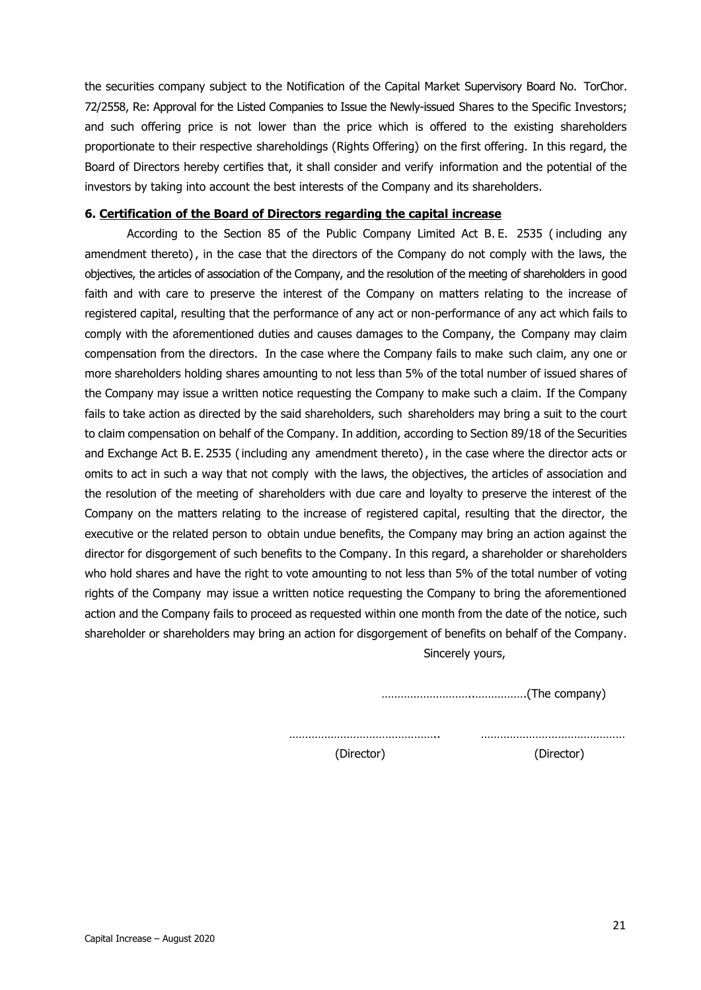the securities company subject to the Notification of the Capital Market Supervisory Board No. TorChor. 72/2558, Re: Approval for the Listed Companies to Issue the Newly-issued Shares to the Specific Investors; and such offering price is not lower than the price which is offered to the existing shareholders proportionate to their respective shareholdings (Rights Offering) on the first offering. In this regard, the Board of Directors hereby certifies that, it shall consider and verify information and the potential of the investors by taking into account the best interests of the Company and its shareholders.

#### **6. Certification of the Board of Directors regarding the capital increase**

According to the Section 85 of the Public Company Limited Act B. E. 2535 ( including any amendment thereto), in the case that the directors of the Company do not comply with the laws, the objectives, the articles of association of the Company, and the resolution of the meeting of shareholders in good faith and with care to preserve the interest of the Company on matters relating to the increase of registered capital, resulting that the performance of any act or non-performance of any act which fails to comply with the aforementioned duties and causes damages to the Company, the Company may claim compensation from the directors. In the case where the Company fails to make such claim, any one or more shareholders holding shares amounting to not less than 5% of the total number of issued shares of the Company may issue a written notice requesting the Company to make such a claim. If the Company fails to take action as directed by the said shareholders, such shareholders may bring a suit to the court to claim compensation on behalf of the Company. In addition, according to Section 89/18 of the Securities and Exchange Act B. E. 2535 (including any amendment thereto), in the case where the director acts or omits to act in such a way that not comply with the laws, the objectives, the articles of association and the resolution of the meeting of shareholders with due care and loyalty to preserve the interest of the Company on the matters relating to the increase of registered capital, resulting that the director, the executive or the related person to obtain undue benefits, the Company may bring an action against the director for disgorgement of such benefits to the Company. In this regard, a shareholder or shareholders who hold shares and have the right to vote amounting to not less than 5% of the total number of voting rights of the Company may issue a written notice requesting the Company to bring the aforementioned action and the Company fails to proceed as requested within one month from the date of the notice, such shareholder or shareholders may bring an action for disgorgement of benefits on behalf of the Company. Sincerely yours,

………………………..…………….(The company)

……………………………………….. ………………………………………

(Director) (Director)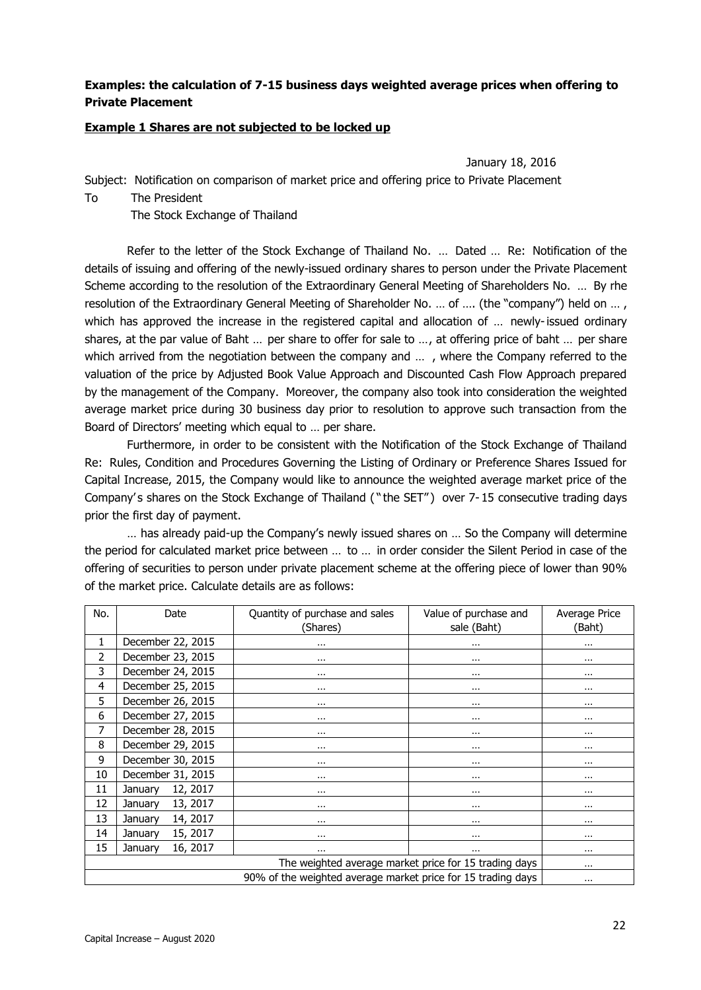#### **Examples: the calculation of 7-15 business days weighted average prices when offering to Private Placement**

#### **Example 1 Shares are not subjected to be locked up**

January 18, 2016

Subject: Notification on comparison of market price and offering price to Private Placement To The President

The Stock Exchange of Thailand

Refer to the letter of the Stock Exchange of Thailand No. … Dated … Re: Notification of the details of issuing and offering of the newly-issued ordinary shares to person under the Private Placement Scheme according to the resolution of the Extraordinary General Meeting of Shareholders No. … By rhe resolution of the Extraordinary General Meeting of Shareholder No. … of …. (the "company") held on … , which has approved the increase in the registered capital and allocation of ... newly-issued ordinary shares, at the par value of Baht … per share to offer for sale to …, at offering price of baht … per share which arrived from the negotiation between the company and ..., where the Company referred to the valuation of the price by Adjusted Book Value Approach and Discounted Cash Flow Approach prepared by the management of the Company. Moreover, the company also took into consideration the weighted average market price during 30 business day prior to resolution to approve such transaction from the Board of Directors' meeting which equal to … per share.

Furthermore, in order to be consistent with the Notification of the Stock Exchange of Thailand Re: Rules, Condition and Procedures Governing the Listing of Ordinary or Preference Shares Issued for Capital Increase, 2015, the Company would like to announce the weighted average market price of the Company's shares on the Stock Exchange of Thailand ("the SET") over 7-15 consecutive trading days prior the first day of payment.

… has already paid-up the Company's newly issued shares on … So the Company will determine the period for calculated market price between … to … in order consider the Silent Period in case of the offering of securities to person under private placement scheme at the offering piece of lower than 90% of the market price. Calculate details are as follows:

| No.                                                   | Date                                                                     | Quantity of purchase and sales | Value of purchase and | Average Price |  |
|-------------------------------------------------------|--------------------------------------------------------------------------|--------------------------------|-----------------------|---------------|--|
|                                                       |                                                                          | (Shares)                       | sale (Baht)           | (Baht)        |  |
| 1                                                     | December 22, 2015                                                        | $\cdots$                       |                       | $\cdots$      |  |
| 2                                                     | December 23, 2015                                                        | $\cdots$                       | $\cdots$              | $\cdots$      |  |
| 3                                                     | December 24, 2015                                                        | $\cdots$                       | $\cdots$              | $\cdots$      |  |
| 4                                                     | December 25, 2015                                                        | $\cdots$                       | $\cdots$              | $\cdots$      |  |
| 5                                                     | December 26, 2015                                                        | $\cdots$                       | $\cdots$              | $\cdots$      |  |
| 6                                                     | December 27, 2015                                                        | $\cdots$                       |                       | $\cdots$      |  |
| 7                                                     | December 28, 2015                                                        | $\cdots$                       | $\cdots$              | $\cdots$      |  |
| 8                                                     | December 29, 2015                                                        | $\cdots$                       | $\cdots$              | $\cdots$      |  |
| 9                                                     | December 30, 2015                                                        | $\cdots$                       | $\cdots$              | $\cdots$      |  |
| 10                                                    | December 31, 2015                                                        | $\cdots$                       | $\cdots$              | $\cdots$      |  |
| 11                                                    | 12, 2017<br>January                                                      | $\cdots$                       | $\cdots$              | $\cdots$      |  |
| 12                                                    | 13, 2017<br>January                                                      | $\cdots$                       | $\cdots$              | $\cdots$      |  |
| 13                                                    | 14, 2017<br>January                                                      | $\cdots$                       | $\cdots$              | $\cdots$      |  |
| 14                                                    | 15, 2017<br>January                                                      | $\cdots$                       | $\cdots$              | $\cdots$      |  |
| 15                                                    | 16, 2017<br>January                                                      | $\cdots$                       | .                     | $\cdots$      |  |
| The weighted average market price for 15 trading days |                                                                          |                                |                       | $\cdots$      |  |
|                                                       | 90% of the weighted average market price for 15 trading days<br>$\cdots$ |                                |                       |               |  |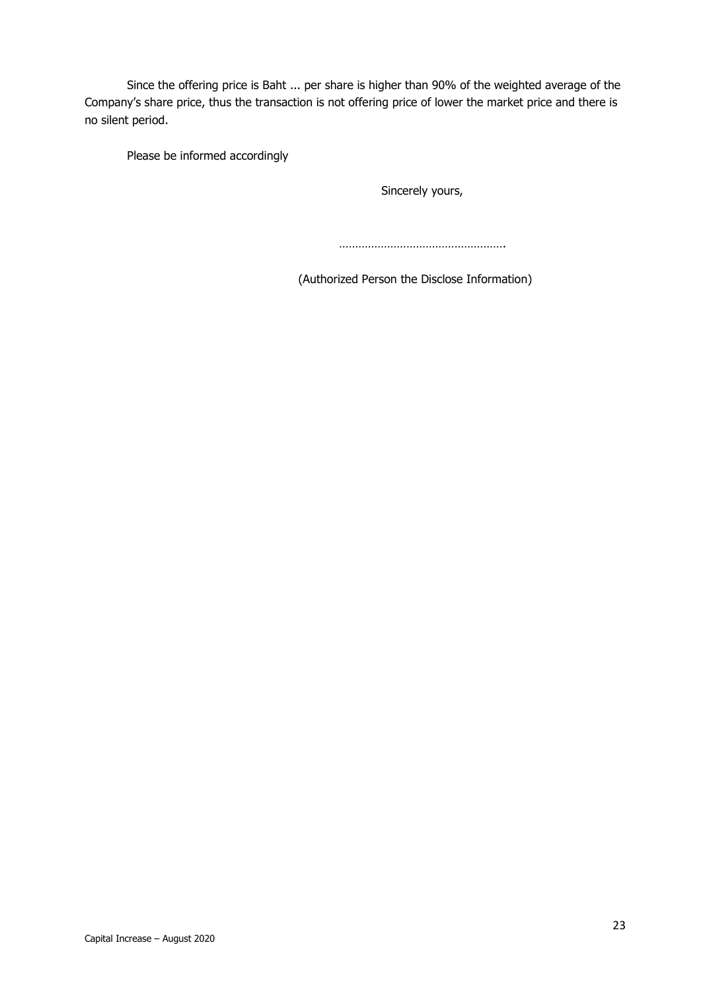Since the offering price is Baht ... per share is higher than 90% of the weighted average of the Company's share price, thus the transaction is not offering price of lower the market price and there is no silent period.

Please be informed accordingly

Sincerely yours,

…………………………………………….

(Authorized Person the Disclose Information)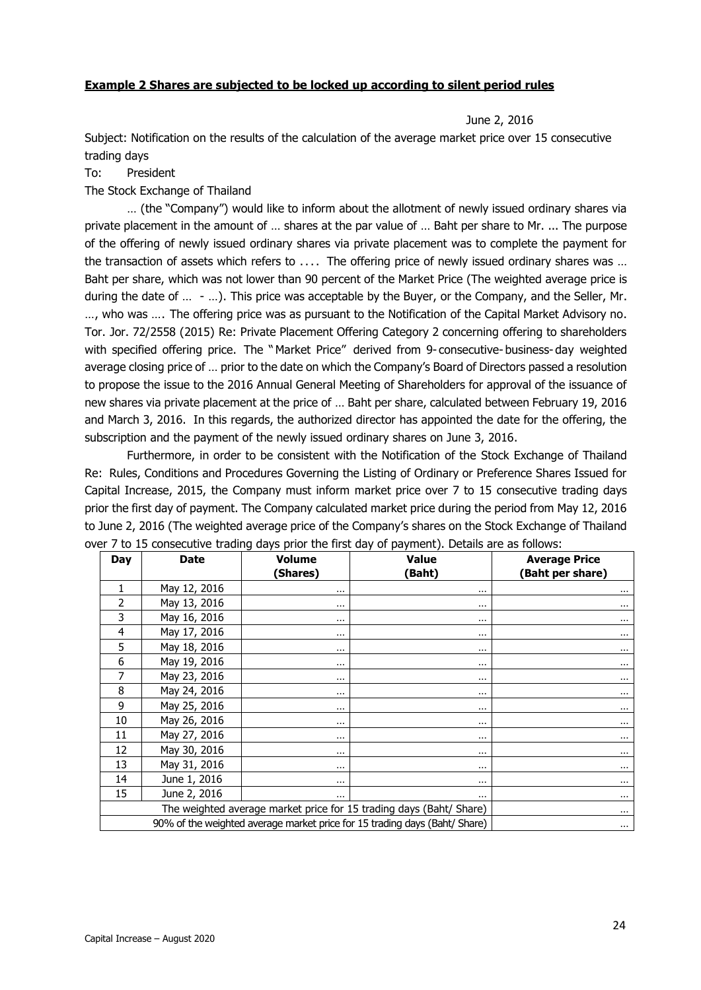#### **Example 2 Shares are subjected to be locked up according to silent period rules**

June 2, 2016

Subject: Notification on the results of the calculation of the average market price over 15 consecutive trading days

#### To: President

The Stock Exchange of Thailand

… (the "Company") would like to inform about the allotment of newly issued ordinary shares via private placement in the amount of … shares at the par value of … Baht per share to Mr. ... The purpose of the offering of newly issued ordinary shares via private placement was to complete the payment for the transaction of assets which refers to .... The offering price of newly issued ordinary shares was … Baht per share, which was not lower than 90 percent of the Market Price (The weighted average price is during the date of … - …). This price was acceptable by the Buyer, or the Company, and the Seller, Mr. …, who was …. The offering price was as pursuant to the Notification of the Capital Market Advisory no. Tor. Jor. 72/2558 (2015) Re: Private Placement Offering Category 2 concerning offering to shareholders with specified offering price. The "Market Price" derived from 9- consecutive- business- day weighted average closing price of … prior to the date on which the Company's Board of Directors passed a resolution to propose the issue to the 2016 Annual General Meeting of Shareholders for approval of the issuance of new shares via private placement at the price of … Baht per share, calculated between February 19, 2016 and March 3, 2016. In this regards, the authorized director has appointed the date for the offering, the subscription and the payment of the newly issued ordinary shares on June 3, 2016.

Furthermore, in order to be consistent with the Notification of the Stock Exchange of Thailand Re: Rules, Conditions and Procedures Governing the Listing of Ordinary or Preference Shares Issued for Capital Increase, 2015, the Company must inform market price over 7 to 15 consecutive trading days prior the first day of payment. The Company calculated market price during the period from May 12, 2016 to June 2, 2016 (The weighted average price of the Company's shares on the Stock Exchange of Thailand over 7 to 15 consecutive trading days prior the first day of payment). Details are as follows:

| <b>Day</b> | <b>Date</b>                                                                            | <b>Value</b><br><b>Volume</b> |          | <b>Average Price</b> |  |
|------------|----------------------------------------------------------------------------------------|-------------------------------|----------|----------------------|--|
|            |                                                                                        | (Shares)                      | (Baht)   | (Baht per share)     |  |
| 1          | May 12, 2016                                                                           | $\cdots$                      | $\cdots$ | $\cdots$             |  |
| 2          | May 13, 2016                                                                           | $\cdots$                      | $\cdots$ | $\cdots$             |  |
| 3          | May 16, 2016                                                                           | $\cdots$                      | $\cdots$ | $\cdots$             |  |
| 4          | May 17, 2016                                                                           | $\cdots$                      | $\cdots$ | $\cdots$             |  |
| 5          | May 18, 2016                                                                           | $\cdots$                      | $\cdots$ | $\cdots$             |  |
| 6          | May 19, 2016                                                                           | $\cdots$                      | $\cdots$ | $\cdots$             |  |
| 7          | May 23, 2016                                                                           | $\cdots$                      | $\cdots$ | $\cdots$             |  |
| 8          | May 24, 2016                                                                           | $\cdots$                      | $\cdots$ | $\cdots$             |  |
| 9          | May 25, 2016                                                                           | $\cdots$                      | $\cdots$ | $\cdots$             |  |
| 10         | May 26, 2016                                                                           | $\cdots$                      | $\cdots$ |                      |  |
| 11         | May 27, 2016                                                                           | $\cdots$                      | $\cdots$ | $\cdots$             |  |
| 12         | May 30, 2016                                                                           | $\cdots$                      | $\cdots$ |                      |  |
| 13         | May 31, 2016                                                                           | $\cdots$                      | $\cdots$ | $\cdots$             |  |
| 14         | June 1, 2016                                                                           | $\cdots$                      | $\cdots$ | $\cdots$             |  |
| 15         | June 2, 2016                                                                           | $\cdots$                      | $\cdots$ | $\cdots$             |  |
|            | The weighted average market price for 15 trading days (Baht/ Share)                    |                               |          |                      |  |
|            | 90% of the weighted average market price for 15 trading days (Baht/ Share)<br>$\cdots$ |                               |          |                      |  |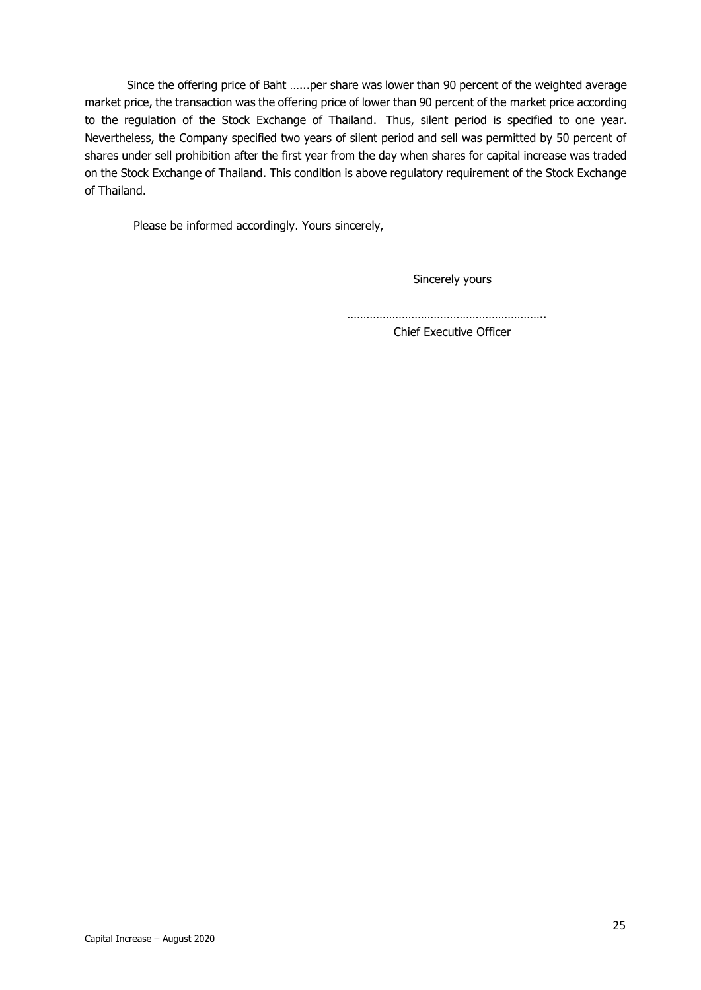Since the offering price of Baht …...per share was lower than 90 percent of the weighted average market price, the transaction was the offering price of lower than 90 percent of the market price according to the regulation of the Stock Exchange of Thailand. Thus, silent period is specified to one year. Nevertheless, the Company specified two years of silent period and sell was permitted by 50 percent of shares under sell prohibition after the first year from the day when shares for capital increase was traded on the Stock Exchange of Thailand. This condition is above regulatory requirement of the Stock Exchange of Thailand.

Please be informed accordingly. Yours sincerely,

Sincerely yours

……………………………………………………..

Chief Executive Officer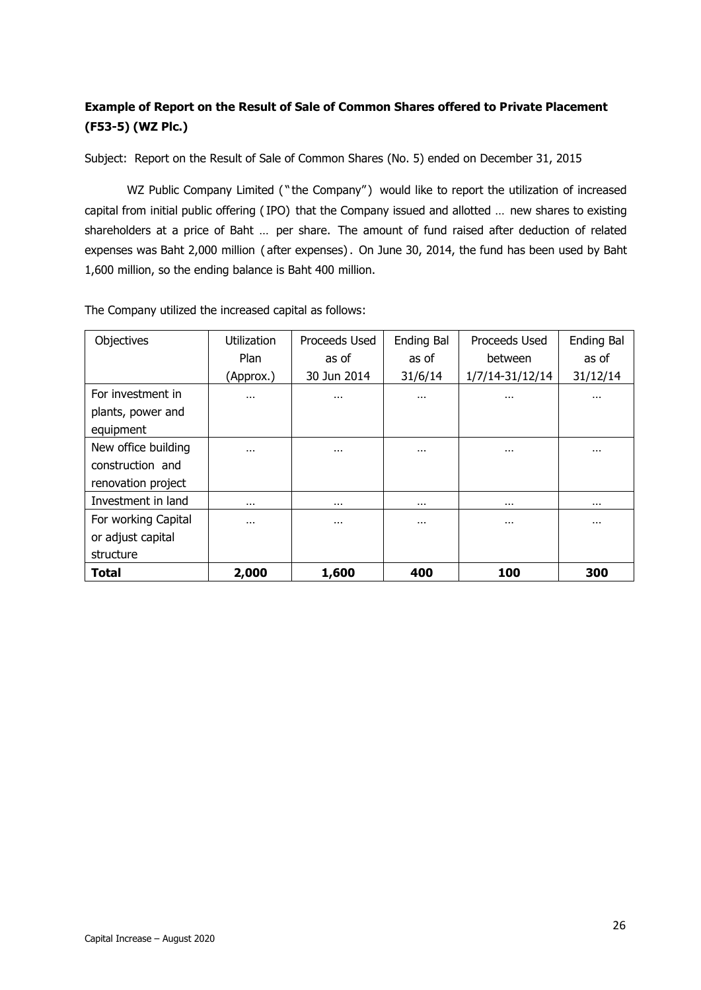### **Example of Report on the Result of Sale of Common Shares offered to Private Placement (F53-5) (WZ Plc.)**

Subject: Report on the Result of Sale of Common Shares (No. 5) ended on December 31, 2015

WZ Public Company Limited ("the Company") would like to report the utilization of increased capital from initial public offering (IPO) that the Company issued and allotted … new shares to existing shareholders at a price of Baht … per share. The amount of fund raised after deduction of related expenses was Baht 2,000 million ( after expenses). On June 30, 2014, the fund has been used by Baht 1,600 million, so the ending balance is Baht 400 million.

| Objectives          | <b>Utilization</b> | Proceeds Used | <b>Ending Bal</b> | Proceeds Used   | <b>Ending Bal</b> |
|---------------------|--------------------|---------------|-------------------|-----------------|-------------------|
|                     | Plan               | as of         | as of             | between         | as of             |
|                     | (Approx.)          | 30 Jun 2014   | 31/6/14           | 1/7/14-31/12/14 | 31/12/14          |
| For investment in   |                    | $\cdots$      | $\cdots$          | $\cdots$        | $\cdots$          |
| plants, power and   |                    |               |                   |                 |                   |
| equipment           |                    |               |                   |                 |                   |
| New office building |                    | $\cdots$      | $\cdots$          | $\cdots$        | $\cdots$          |
| construction and    |                    |               |                   |                 |                   |
| renovation project  |                    |               |                   |                 |                   |
| Investment in land  |                    | $\cdots$      | $\cdots$          | $\cdots$        | $\cdots$          |
| For working Capital | $\cdots$           | $\cdots$      | $\cdots$          | $\cdots$        | $\cdots$          |
| or adjust capital   |                    |               |                   |                 |                   |
| structure           |                    |               |                   |                 |                   |
| Total               | 2,000              | 1,600         | 400               | 100             | 300               |

The Company utilized the increased capital as follows: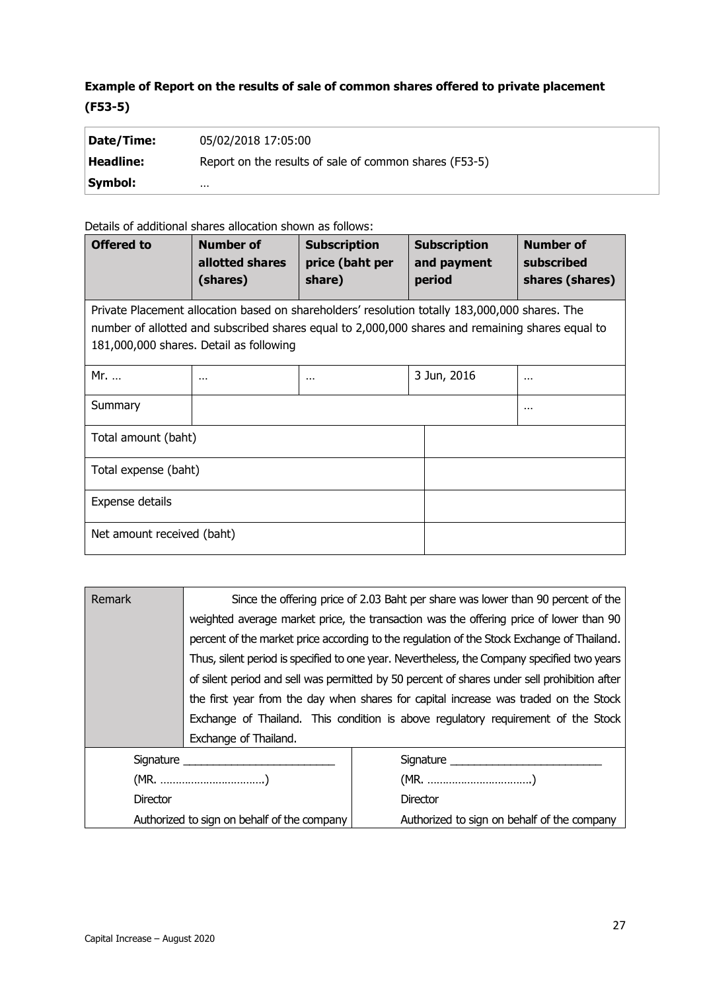### **Example of Report on the results of sale of common shares offered to private placement (F53-5)**

| Date/Time: | 05/02/2018 17:05:00                                    |
|------------|--------------------------------------------------------|
| Headline:  | Report on the results of sale of common shares (F53-5) |
| Symbol:    | $\cdots$                                               |

Details of additional shares allocation shown as follows:

| <b>Offered to</b>                                                                                                                                                                                                                             | <b>Number of</b><br>allotted shares<br>(shares) | <b>Subscription</b><br>price (baht per<br>share) | <b>Subscription</b><br>and payment<br>period | <b>Number of</b><br>subscribed<br>shares (shares) |
|-----------------------------------------------------------------------------------------------------------------------------------------------------------------------------------------------------------------------------------------------|-------------------------------------------------|--------------------------------------------------|----------------------------------------------|---------------------------------------------------|
| Private Placement allocation based on shareholders' resolution totally 183,000,000 shares. The<br>number of allotted and subscribed shares equal to 2,000,000 shares and remaining shares equal to<br>181,000,000 shares. Detail as following |                                                 |                                                  |                                              |                                                   |
| Mr.                                                                                                                                                                                                                                           | $\cdots$                                        | $\cdots$                                         | 3 Jun, 2016                                  | $\cdots$                                          |
| Summary                                                                                                                                                                                                                                       |                                                 |                                                  |                                              | $\cdots$                                          |
| Total amount (baht)                                                                                                                                                                                                                           |                                                 |                                                  |                                              |                                                   |
| Total expense (baht)                                                                                                                                                                                                                          |                                                 |                                                  |                                              |                                                   |
| Expense details                                                                                                                                                                                                                               |                                                 |                                                  |                                              |                                                   |
| Net amount received (baht)                                                                                                                                                                                                                    |                                                 |                                                  |                                              |                                                   |

| Remark                                      | Since the offering price of 2.03 Baht per share was lower than 90 percent of the             |                                             |  |
|---------------------------------------------|----------------------------------------------------------------------------------------------|---------------------------------------------|--|
|                                             | weighted average market price, the transaction was the offering price of lower than 90       |                                             |  |
|                                             | percent of the market price according to the regulation of the Stock Exchange of Thailand.   |                                             |  |
|                                             | Thus, silent period is specified to one year. Nevertheless, the Company specified two years  |                                             |  |
|                                             | of silent period and sell was permitted by 50 percent of shares under sell prohibition after |                                             |  |
|                                             | the first year from the day when shares for capital increase was traded on the Stock         |                                             |  |
|                                             | Exchange of Thailand. This condition is above regulatory requirement of the Stock            |                                             |  |
|                                             | Exchange of Thailand.                                                                        |                                             |  |
| Signature _____________________             |                                                                                              |                                             |  |
| (MR. )                                      |                                                                                              |                                             |  |
| <b>Director</b>                             |                                                                                              | <b>Director</b>                             |  |
| Authorized to sign on behalf of the company |                                                                                              | Authorized to sign on behalf of the company |  |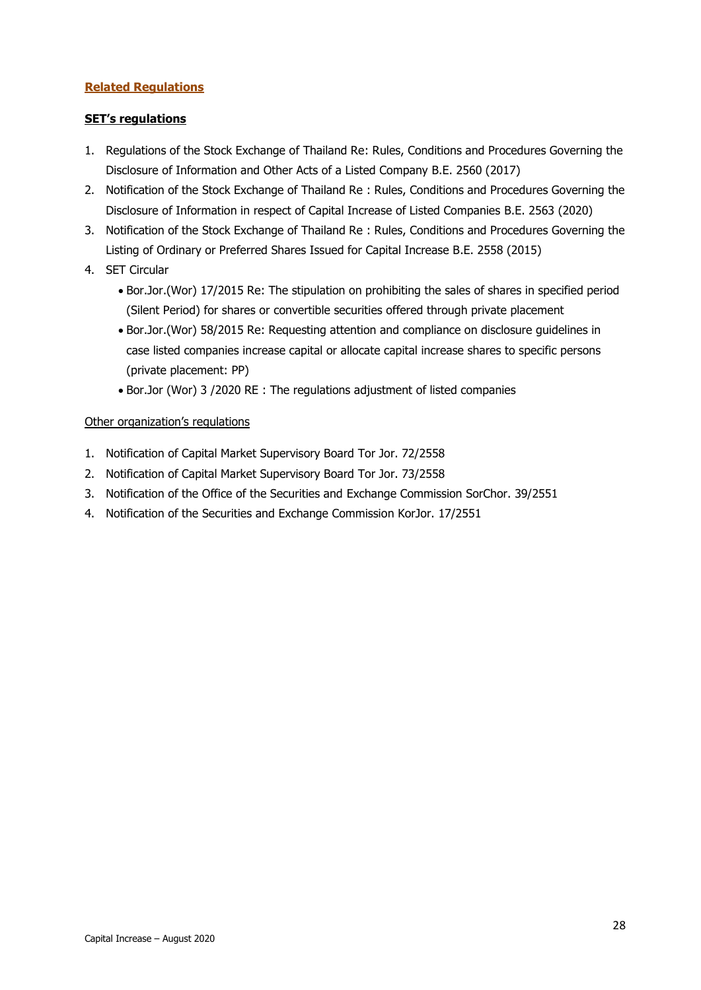#### **Related Regulations**

#### **SET's regulations**

- 1. Regulations of the Stock Exchange of Thailand Re: Rules, Conditions and Procedures Governing the Disclosure of Information and Other Acts of a Listed Company B.E. 2560 (2017)
- 2. Notification of the Stock Exchange of Thailand Re : Rules, Conditions and Procedures Governing the Disclosure of Information in respect of Capital Increase of Listed Companies B.E. 2563 (2020)
- 3. Notification of the Stock Exchange of Thailand Re : Rules, Conditions and Procedures Governing the Listing of Ordinary or Preferred Shares Issued for Capital Increase B.E. 2558 (2015)
- 4. SET Circular
	- Bor.Jor.(Wor) 17/2015 Re: The stipulation on prohibiting the sales of shares in specified period (Silent Period) for shares or convertible securities offered through private placement
	- Bor.Jor.(Wor) 58/2015 Re: Requesting attention and compliance on disclosure guidelines in case listed companies increase capital or allocate capital increase shares to specific persons (private placement: PP)
	- Bor.Jor (Wor) 3 /2020 RE : The regulations adjustment of listed companies

#### Other organization's regulations

- 1. Notification of Capital Market Supervisory Board Tor Jor. 72/2558
- 2. Notification of Capital Market Supervisory Board Tor Jor. 73/2558
- 3. Notification of the Office of the Securities and Exchange Commission SorChor. 39/2551
- 4. Notification of the Securities and Exchange Commission KorJor. 17/2551